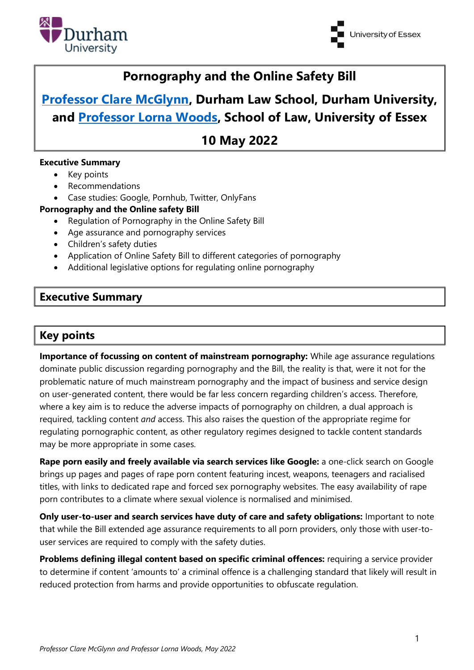



# **Pornography and the Online Safety Bill**

# **[Professor Clare McGlynn,](https://claremcglynn.com/) Durham Law School, Durham University, and [Professor Lorna Woods,](https://www.essex.ac.uk/people/woods91406/lorna-woods) School of Law, University of Essex**

**10 May 2022**

#### **Executive Summary**

- Key points
- Recommendations
- Case studies: Google, Pornhub, Twitter, OnlyFans

#### **Pornography and the Online safety Bill**

- Regulation of Pornography in the Online Safety Bill
- Age assurance and pornography services
- Children's safety duties
- Application of Online Safety Bill to different categories of pornography
- Additional legislative options for regulating online pornography

### **Executive Summary**

## **Key points**

**Importance of focussing on content of mainstream pornography:** While age assurance regulations dominate public discussion regarding pornography and the Bill, the reality is that, were it not for the problematic nature of much mainstream pornography and the impact of business and service design on user-generated content, there would be far less concern regarding children's access. Therefore, where a key aim is to reduce the adverse impacts of pornography on children, a dual approach is required, tackling content *and* access. This also raises the question of the appropriate regime for regulating pornographic content, as other regulatory regimes designed to tackle content standards may be more appropriate in some cases.

**Rape porn easily and freely available via search services like Google:** a one-click search on Google brings up pages and pages of rape porn content featuring incest, weapons, teenagers and racialised titles, with links to dedicated rape and forced sex pornography websites. The easy availability of rape porn contributes to a climate where sexual violence is normalised and minimised.

**Only user-to-user and search services have duty of care and safety obligations:** Important to note that while the Bill extended age assurance requirements to all porn providers, only those with user-touser services are required to comply with the safety duties.

**Problems defining illegal content based on specific criminal offences:** requiring a service provider to determine if content 'amounts to' a criminal offence is a challenging standard that likely will result in reduced protection from harms and provide opportunities to obfuscate regulation.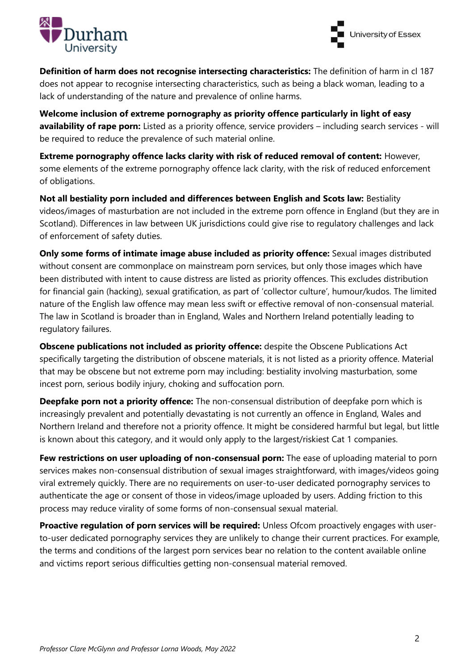



**Definition of harm does not recognise intersecting characteristics:** The definition of harm in cl 187 does not appear to recognise intersecting characteristics, such as being a black woman, leading to a lack of understanding of the nature and prevalence of online harms.

**Welcome inclusion of extreme pornography as priority offence particularly in light of easy availability of rape porn:** Listed as a priority offence, service providers – including search services - will be required to reduce the prevalence of such material online.

**Extreme pornography offence lacks clarity with risk of reduced removal of content:** However, some elements of the extreme pornography offence lack clarity, with the risk of reduced enforcement of obligations.

**Not all bestiality porn included and differences between English and Scots law:** Bestiality videos/images of masturbation are not included in the extreme porn offence in England (but they are in Scotland). Differences in law between UK jurisdictions could give rise to regulatory challenges and lack of enforcement of safety duties.

**Only some forms of intimate image abuse included as priority offence:** Sexual images distributed without consent are commonplace on mainstream porn services, but only those images which have been distributed with intent to cause distress are listed as priority offences. This excludes distribution for financial gain (hacking), sexual gratification, as part of 'collector culture', humour/kudos. The limited nature of the English law offence may mean less swift or effective removal of non-consensual material. The law in Scotland is broader than in England, Wales and Northern Ireland potentially leading to regulatory failures.

**Obscene publications not included as priority offence:** despite the Obscene Publications Act specifically targeting the distribution of obscene materials, it is not listed as a priority offence. Material that may be obscene but not extreme porn may including: bestiality involving masturbation, some incest porn, serious bodily injury, choking and suffocation porn.

**Deepfake porn not a priority offence:** The non-consensual distribution of deepfake porn which is increasingly prevalent and potentially devastating is not currently an offence in England, Wales and Northern Ireland and therefore not a priority offence. It might be considered harmful but legal, but little is known about this category, and it would only apply to the largest/riskiest Cat 1 companies.

**Few restrictions on user uploading of non-consensual porn:** The ease of uploading material to porn services makes non-consensual distribution of sexual images straightforward, with images/videos going viral extremely quickly. There are no requirements on user-to-user dedicated pornography services to authenticate the age or consent of those in videos/image uploaded by users. Adding friction to this process may reduce virality of some forms of non-consensual sexual material.

**Proactive regulation of porn services will be required:** Unless Ofcom proactively engages with userto-user dedicated pornography services they are unlikely to change their current practices. For example, the terms and conditions of the largest porn services bear no relation to the content available online and victims report serious difficulties getting non-consensual material removed.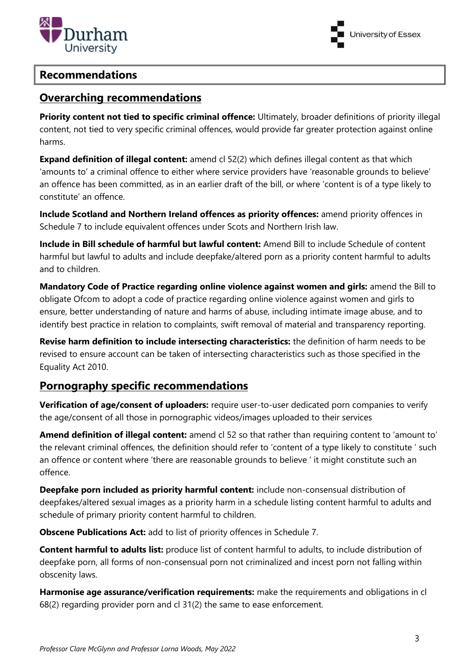

University of Essex

#### **Recommendations**

### **Overarching recommendations**

**Priority content not tied to specific criminal offence:** Ultimately, broader definitions of priority illegal content, not tied to very specific criminal offences, would provide far greater protection against online harms.

**Expand definition of illegal content:** amend cl 52(2) which defines illegal content as that which 'amounts to' a criminal offence to either where service providers have 'reasonable grounds to believe' an offence has been committed, as in an earlier draft of the bill, or where 'content is of a type likely to constitute' an offence.

**Include Scotland and Northern Ireland offences as priority offences:** amend priority offences in Schedule 7 to include equivalent offences under Scots and Northern Irish law.

**Include in Bill schedule of harmful but lawful content:** Amend Bill to include Schedule of content harmful but lawful to adults and include deepfake/altered porn as a priority content harmful to adults and to children.

**Mandatory Code of Practice regarding online violence against women and girls:** amend the Bill to obligate Ofcom to adopt a code of practice regarding online violence against women and girls to ensure, better understanding of nature and harms of abuse, including intimate image abuse, and to identify best practice in relation to complaints, swift removal of material and transparency reporting.

**Revise harm definition to include intersecting characteristics:** the definition of harm needs to be revised to ensure account can be taken of intersecting characteristics such as those specified in the Equality Act 2010.

## **Pornography specific recommendations**

**Verification of age/consent of uploaders:** require user-to-user dedicated porn companies to verify the age/consent of all those in pornographic videos/images uploaded to their services

**Amend definition of illegal content:** amend cl 52 so that rather than requiring content to 'amount to' the relevant criminal offences, the definition should refer to 'content of a type likely to constitute ' such an offence or content where 'there are reasonable grounds to believe ' it might constitute such an offence.

**Deepfake porn included as priority harmful content:** include non-consensual distribution of deepfakes/altered sexual images as a priority harm in a schedule listing content harmful to adults and schedule of primary priority content harmful to children.

**Obscene Publications Act:** add to list of priority offences in Schedule 7.

**Content harmful to adults list:** produce list of content harmful to adults, to include distribution of deepfake porn, all forms of non-consensual porn not criminalized and incest porn not falling within obscenity laws.

**Harmonise age assurance/verification requirements:** make the requirements and obligations in cl 68(2) regarding provider porn and cl 31(2) the same to ease enforcement.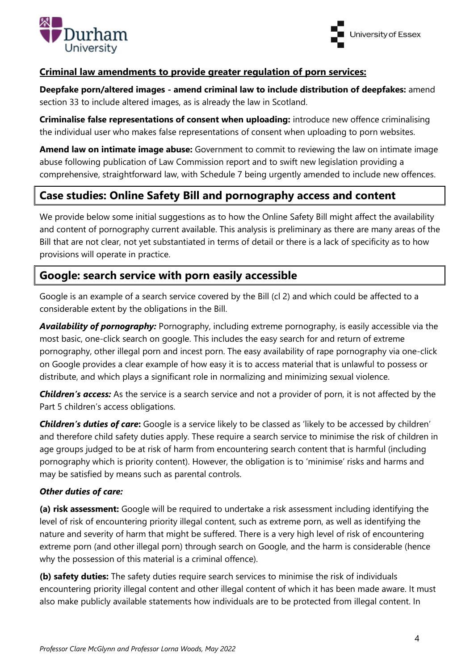



#### **Criminal law amendments to provide greater regulation of porn services:**

**Deepfake porn/altered images - amend criminal law to include distribution of deepfakes:** amend section 33 to include altered images, as is already the law in Scotland.

**Criminalise false representations of consent when uploading:** introduce new offence criminalising the individual user who makes false representations of consent when uploading to porn websites.

**Amend law on intimate image abuse:** Government to commit to reviewing the law on intimate image abuse following publication of Law Commission report and to swift new legislation providing a comprehensive, straightforward law, with Schedule 7 being urgently amended to include new offences.

## **Case studies: Online Safety Bill and pornography access and content**

We provide below some initial suggestions as to how the Online Safety Bill might affect the availability and content of pornography current available. This analysis is preliminary as there are many areas of the Bill that are not clear, not yet substantiated in terms of detail or there is a lack of specificity as to how provisions will operate in practice.

## **Google: search service with porn easily accessible**

Google is an example of a search service covered by the Bill (cl 2) and which could be affected to a considerable extent by the obligations in the Bill.

*Availability of pornography:* Pornography, including extreme pornography, is easily accessible via the most basic, one-click search on google. This includes the easy search for and return of extreme pornography, other illegal porn and incest porn. The easy availability of rape pornography via one-click on Google provides a clear example of how easy it is to access material that is unlawful to possess or distribute, and which plays a significant role in normalizing and minimizing sexual violence.

*Children's access:* As the service is a search service and not a provider of porn, it is not affected by the Part 5 children's access obligations.

*Children's duties of care***:** Google is a service likely to be classed as 'likely to be accessed by children' and therefore child safety duties apply. These require a search service to minimise the risk of children in age groups judged to be at risk of harm from encountering search content that is harmful (including pornography which is priority content). However, the obligation is to 'minimise' risks and harms and may be satisfied by means such as parental controls.

#### *Other duties of care:*

**(a) risk assessment:** Google will be required to undertake a risk assessment including identifying the level of risk of encountering priority illegal content, such as extreme porn, as well as identifying the nature and severity of harm that might be suffered. There is a very high level of risk of encountering extreme porn (and other illegal porn) through search on Google, and the harm is considerable (hence why the possession of this material is a criminal offence).

**(b) safety duties:** The safety duties require search services to minimise the risk of individuals encountering priority illegal content and other illegal content of which it has been made aware. It must also make publicly available statements how individuals are to be protected from illegal content. In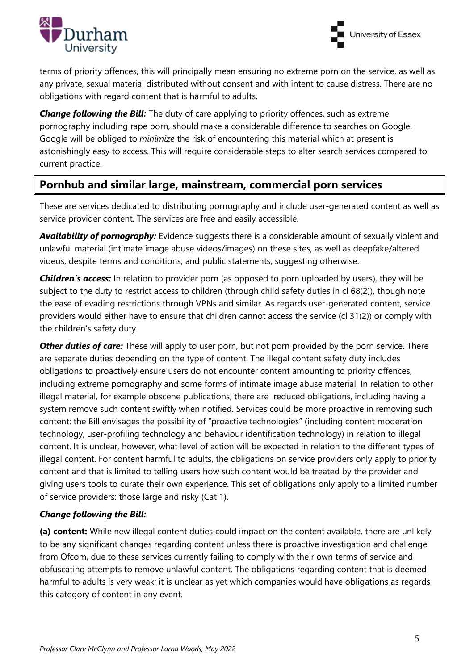



terms of priority offences, this will principally mean ensuring no extreme porn on the service, as well as any private, sexual material distributed without consent and with intent to cause distress. There are no obligations with regard content that is harmful to adults.

**Change following the Bill:** The duty of care applying to priority offences, such as extreme pornography including rape porn, should make a considerable difference to searches on Google. Google will be obliged to *minimize* the risk of encountering this material which at present is astonishingly easy to access. This will require considerable steps to alter search services compared to current practice.

## **Pornhub and similar large, mainstream, commercial porn services**

These are services dedicated to distributing pornography and include user-generated content as well as service provider content. The services are free and easily accessible.

*Availability of pornography:* Evidence suggests there is a considerable amount of sexually violent and unlawful material (intimate image abuse videos/images) on these sites, as well as deepfake/altered videos, despite terms and conditions, and public statements, suggesting otherwise.

*Children's access:* In relation to provider porn (as opposed to porn uploaded by users), they will be subject to the duty to restrict access to children (through child safety duties in cl 68(2)), though note the ease of evading restrictions through VPNs and similar. As regards user-generated content, service providers would either have to ensure that children cannot access the service (cl 31(2)) or comply with the children's safety duty.

**Other duties of care:** These will apply to user porn, but not porn provided by the porn service. There are separate duties depending on the type of content. The illegal content safety duty includes obligations to proactively ensure users do not encounter content amounting to priority offences, including extreme pornography and some forms of intimate image abuse material. In relation to other illegal material, for example obscene publications, there are reduced obligations, including having a system remove such content swiftly when notified. Services could be more proactive in removing such content: the Bill envisages the possibility of "proactive technologies" (including content moderation technology, user-profiling technology and behaviour identification technology) in relation to illegal content. It is unclear, however, what level of action will be expected in relation to the different types of illegal content. For content harmful to adults, the obligations on service providers only apply to priority content and that is limited to telling users how such content would be treated by the provider and giving users tools to curate their own experience. This set of obligations only apply to a limited number of service providers: those large and risky (Cat 1).

#### *Change following the Bill:*

**(a) content:** While new illegal content duties could impact on the content available, there are unlikely to be any significant changes regarding content unless there is proactive investigation and challenge from Ofcom, due to these services currently failing to comply with their own terms of service and obfuscating attempts to remove unlawful content. The obligations regarding content that is deemed harmful to adults is very weak; it is unclear as yet which companies would have obligations as regards this category of content in any event.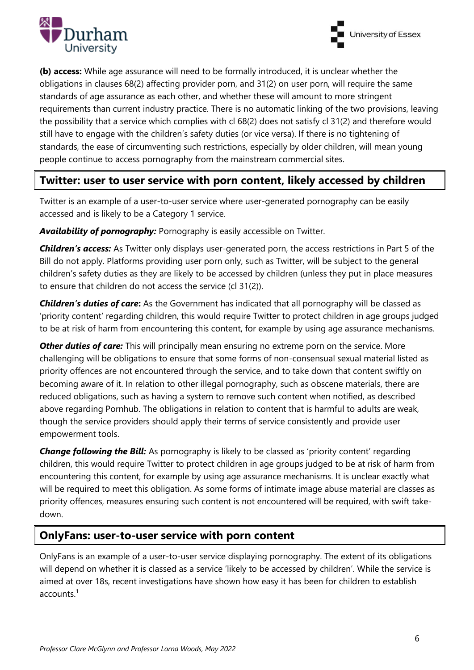



**(b) access:** While age assurance will need to be formally introduced, it is unclear whether the obligations in clauses 68(2) affecting provider porn, and 31(2) on user porn, will require the same standards of age assurance as each other, and whether these will amount to more stringent requirements than current industry practice. There is no automatic linking of the two provisions, leaving the possibility that a service which complies with cl 68(2) does not satisfy cl 31(2) and therefore would still have to engage with the children's safety duties (or vice versa). If there is no tightening of standards, the ease of circumventing such restrictions, especially by older children, will mean young people continue to access pornography from the mainstream commercial sites.

## **Twitter: user to user service with porn content, likely accessed by children**

Twitter is an example of a user-to-user service where user-generated pornography can be easily accessed and is likely to be a Category 1 service.

*Availability of pornography:* Pornography is easily accessible on Twitter.

*Children's access:* As Twitter only displays user-generated porn, the access restrictions in Part 5 of the Bill do not apply. Platforms providing user porn only, such as Twitter, will be subject to the general children's safety duties as they are likely to be accessed by children (unless they put in place measures to ensure that children do not access the service (cl 31(2)).

*Children's duties of care***:** As the Government has indicated that all pornography will be classed as 'priority content' regarding children, this would require Twitter to protect children in age groups judged to be at risk of harm from encountering this content, for example by using age assurance mechanisms.

**Other duties of care:** This will principally mean ensuring no extreme porn on the service. More challenging will be obligations to ensure that some forms of non-consensual sexual material listed as priority offences are not encountered through the service, and to take down that content swiftly on becoming aware of it. In relation to other illegal pornography, such as obscene materials, there are reduced obligations, such as having a system to remove such content when notified, as described above regarding Pornhub. The obligations in relation to content that is harmful to adults are weak, though the service providers should apply their terms of service consistently and provide user empowerment tools.

**Change following the Bill:** As pornography is likely to be classed as 'priority content' regarding children, this would require Twitter to protect children in age groups judged to be at risk of harm from encountering this content, for example by using age assurance mechanisms. It is unclear exactly what will be required to meet this obligation. As some forms of intimate image abuse material are classes as priority offences, measures ensuring such content is not encountered will be required, with swift takedown.

## **OnlyFans: user-to-user service with porn content**

OnlyFans is an example of a user-to-user service displaying pornography. The extent of its obligations will depend on whether it is classed as a service 'likely to be accessed by children'. While the service is aimed at over 18s, recent investigations have shown how easy it has been for children to establish accounts.<sup>1</sup>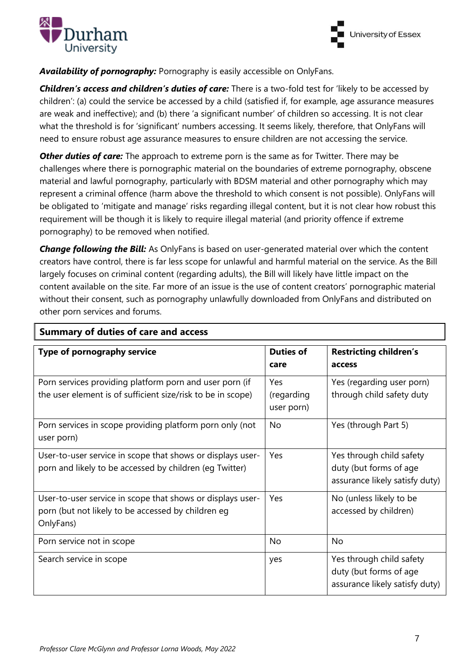



#### *Availability of pornography:* Pornography is easily accessible on OnlyFans.

*Children's access and children's duties of care:* There is a two-fold test for 'likely to be accessed by children': (a) could the service be accessed by a child (satisfied if, for example, age assurance measures are weak and ineffective); and (b) there 'a significant number' of children so accessing. It is not clear what the threshold is for 'significant' numbers accessing. It seems likely, therefore, that OnlyFans will need to ensure robust age assurance measures to ensure children are not accessing the service.

*Other duties of care:* The approach to extreme porn is the same as for Twitter. There may be challenges where there is pornographic material on the boundaries of extreme pornography, obscene material and lawful pornography, particularly with BDSM material and other pornography which may represent a criminal offence (harm above the threshold to which consent is not possible). OnlyFans will be obligated to 'mitigate and manage' risks regarding illegal content, but it is not clear how robust this requirement will be though it is likely to require illegal material (and priority offence if extreme pornography) to be removed when notified.

**Change following the Bill:** As OnlyFans is based on user-generated material over which the content creators have control, there is far less scope for unlawful and harmful material on the service. As the Bill largely focuses on criminal content (regarding adults), the Bill will likely have little impact on the content available on the site. Far more of an issue is the use of content creators' pornographic material without their consent, such as pornography unlawfully downloaded from OnlyFans and distributed on other porn services and forums.

| <b>Summary of duties of care and access</b>                                                                                   |                                 |                                                                                      |
|-------------------------------------------------------------------------------------------------------------------------------|---------------------------------|--------------------------------------------------------------------------------------|
| Type of pornography service                                                                                                   | <b>Duties of</b><br>care        | <b>Restricting children's</b><br>access                                              |
| Porn services providing platform porn and user porn (if<br>the user element is of sufficient size/risk to be in scope)        | Yes<br>(regarding<br>user porn) | Yes (regarding user porn)<br>through child safety duty                               |
| Porn services in scope providing platform porn only (not<br>user porn)                                                        | <b>No</b>                       | Yes (through Part 5)                                                                 |
| User-to-user service in scope that shows or displays user-<br>porn and likely to be accessed by children (eg Twitter)         | Yes                             | Yes through child safety<br>duty (but forms of age<br>assurance likely satisfy duty) |
| User-to-user service in scope that shows or displays user-<br>porn (but not likely to be accessed by children eg<br>OnlyFans) | Yes                             | No (unless likely to be<br>accessed by children)                                     |
| Porn service not in scope                                                                                                     | <b>No</b>                       | <b>No</b>                                                                            |
| Search service in scope                                                                                                       | yes                             | Yes through child safety<br>duty (but forms of age<br>assurance likely satisfy duty) |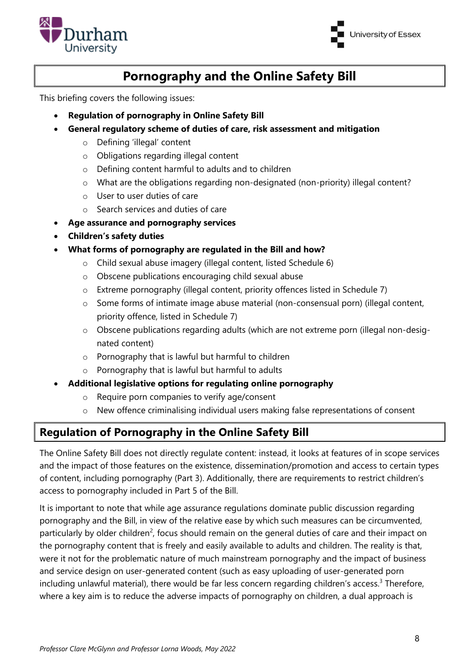



# **Pornography and the Online Safety Bill**

This briefing covers the following issues:

- **Regulation of pornography in Online Safety Bill**
- **General regulatory scheme of duties of care, risk assessment and mitigation**
	- o Defining 'illegal' content
	- o Obligations regarding illegal content
	- o Defining content harmful to adults and to children
	- o What are the obligations regarding non-designated (non-priority) illegal content?
	- o User to user duties of care
	- o Search services and duties of care
- **Age assurance and pornography services**
- **Children's safety duties**

#### • **What forms of pornography are regulated in the Bill and how?**

- o Child sexual abuse imagery (illegal content, listed Schedule 6)
- o Obscene publications encouraging child sexual abuse
- o Extreme pornography (illegal content, priority offences listed in Schedule 7)
- o Some forms of intimate image abuse material (non-consensual porn) (illegal content, priority offence, listed in Schedule 7)
- o Obscene publications regarding adults (which are not extreme porn (illegal non-designated content)
- o Pornography that is lawful but harmful to children
- o Pornography that is lawful but harmful to adults
- **Additional legislative options for regulating online pornography**
	- $\circ$  Require porn companies to verify age/consent
	- o New offence criminalising individual users making false representations of consent

# **Regulation of Pornography in the Online Safety Bill**

The Online Safety Bill does not directly regulate content: instead, it looks at features of in scope services and the impact of those features on the existence, dissemination/promotion and access to certain types of content, including pornography (Part 3). Additionally, there are requirements to restrict children's access to pornography included in Part 5 of the Bill.

It is important to note that while age assurance regulations dominate public discussion regarding pornography and the Bill, in view of the relative ease by which such measures can be circumvented, particularly by older children<sup>2</sup>, focus should remain on the general duties of care and their impact on the pornography content that is freely and easily available to adults and children. The reality is that, were it not for the problematic nature of much mainstream pornography and the impact of business and service design on user-generated content (such as easy uploading of user-generated porn including unlawful material), there would be far less concern regarding children's access.<sup>3</sup> Therefore, where a key aim is to reduce the adverse impacts of pornography on children, a dual approach is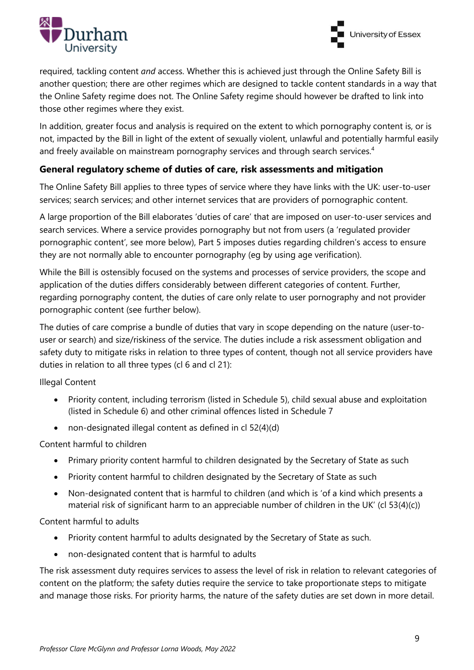



required, tackling content *and* access. Whether this is achieved just through the Online Safety Bill is another question; there are other regimes which are designed to tackle content standards in a way that the Online Safety regime does not. The Online Safety regime should however be drafted to link into those other regimes where they exist.

In addition, greater focus and analysis is required on the extent to which pornography content is, or is not, impacted by the Bill in light of the extent of sexually violent, unlawful and potentially harmful easily and freely available on mainstream pornography services and through search services.<sup>4</sup>

#### **General regulatory scheme of duties of care, risk assessments and mitigation**

The Online Safety Bill applies to three types of service where they have links with the UK: user-to-user services; search services; and other internet services that are providers of pornographic content.

A large proportion of the Bill elaborates 'duties of care' that are imposed on user-to-user services and search services. Where a service provides pornography but not from users (a 'regulated provider pornographic content', see more below), Part 5 imposes duties regarding children's access to ensure they are not normally able to encounter pornography (eg by using age verification).

While the Bill is ostensibly focused on the systems and processes of service providers, the scope and application of the duties differs considerably between different categories of content. Further, regarding pornography content, the duties of care only relate to user pornography and not provider pornographic content (see further below).

The duties of care comprise a bundle of duties that vary in scope depending on the nature (user-touser or search) and size/riskiness of the service. The duties include a risk assessment obligation and safety duty to mitigate risks in relation to three types of content, though not all service providers have duties in relation to all three types (cl 6 and cl 21):

Illegal Content

- Priority content, including terrorism (listed in Schedule 5), child sexual abuse and exploitation (listed in Schedule 6) and other criminal offences listed in Schedule 7
- non-designated illegal content as defined in cl 52(4)(d)

#### Content harmful to children

- Primary priority content harmful to children designated by the Secretary of State as such
- Priority content harmful to children designated by the Secretary of State as such
- Non-designated content that is harmful to children (and which is 'of a kind which presents a material risk of significant harm to an appreciable number of children in the UK' (cl 53(4)(c))

Content harmful to adults

- Priority content harmful to adults designated by the Secretary of State as such.
- non-designated content that is harmful to adults

The risk assessment duty requires services to assess the level of risk in relation to relevant categories of content on the platform; the safety duties require the service to take proportionate steps to mitigate and manage those risks. For priority harms, the nature of the safety duties are set down in more detail.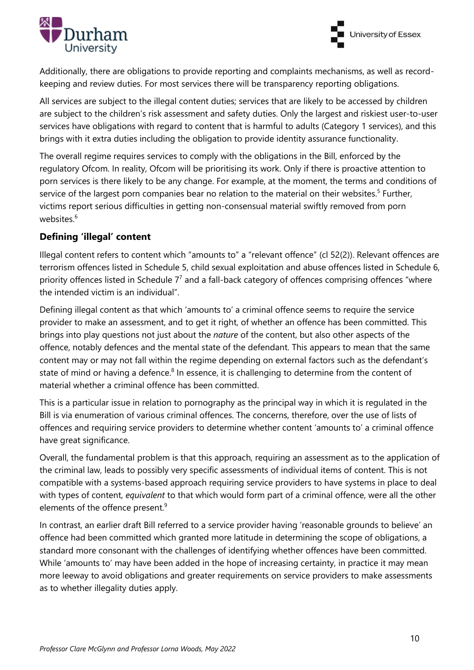



Additionally, there are obligations to provide reporting and complaints mechanisms, as well as recordkeeping and review duties. For most services there will be transparency reporting obligations.

All services are subject to the illegal content duties; services that are likely to be accessed by children are subject to the children's risk assessment and safety duties. Only the largest and riskiest user-to-user services have obligations with regard to content that is harmful to adults (Category 1 services), and this brings with it extra duties including the obligation to provide identity assurance functionality.

The overall regime requires services to comply with the obligations in the Bill, enforced by the regulatory Ofcom. In reality, Ofcom will be prioritising its work. Only if there is proactive attention to porn services is there likely to be any change. For example, at the moment, the terms and conditions of service of the largest porn companies bear no relation to the material on their websites.<sup>5</sup> Further, victims report serious difficulties in getting non-consensual material swiftly removed from porn websites.<sup>6</sup>

### **Defining 'illegal' content**

Illegal content refers to content which "amounts to" a "relevant offence" (cl 52(2)). Relevant offences are terrorism offences listed in Schedule 5, child sexual exploitation and abuse offences listed in Schedule 6, priority offences listed in Schedule  $7<sup>7</sup>$  and a fall-back category of offences comprising offences "where the intended victim is an individual".

Defining illegal content as that which 'amounts to' a criminal offence seems to require the service provider to make an assessment, and to get it right, of whether an offence has been committed. This brings into play questions not just about the *nature* of the content, but also other aspects of the offence, notably defences and the mental state of the defendant. This appears to mean that the same content may or may not fall within the regime depending on external factors such as the defendant's state of mind or having a defence. $8$  In essence, it is challenging to determine from the content of material whether a criminal offence has been committed.

This is a particular issue in relation to pornography as the principal way in which it is regulated in the Bill is via enumeration of various criminal offences. The concerns, therefore, over the use of lists of offences and requiring service providers to determine whether content 'amounts to' a criminal offence have great significance.

Overall, the fundamental problem is that this approach, requiring an assessment as to the application of the criminal law, leads to possibly very specific assessments of individual items of content. This is not compatible with a systems-based approach requiring service providers to have systems in place to deal with types of content, *equivalent* to that which would form part of a criminal offence, were all the other elements of the offence present.<sup>9</sup>

In contrast, an earlier draft Bill referred to a service provider having 'reasonable grounds to believe' an offence had been committed which granted more latitude in determining the scope of obligations, a standard more consonant with the challenges of identifying whether offences have been committed. While 'amounts to' may have been added in the hope of increasing certainty, in practice it may mean more leeway to avoid obligations and greater requirements on service providers to make assessments as to whether illegality duties apply.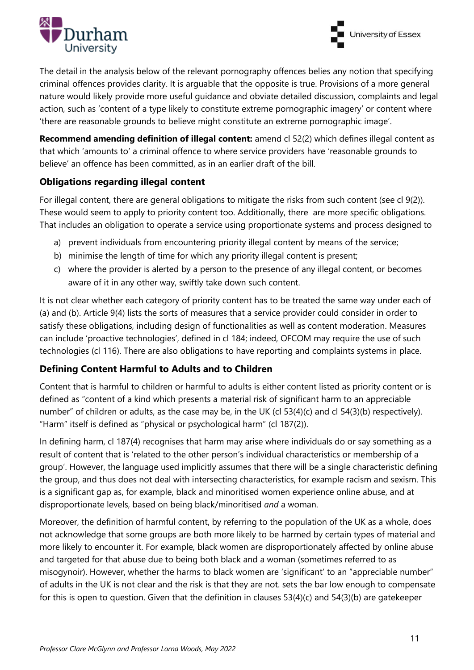



The detail in the analysis below of the relevant pornography offences belies any notion that specifying criminal offences provides clarity. It is arguable that the opposite is true. Provisions of a more general nature would likely provide more useful guidance and obviate detailed discussion, complaints and legal action, such as 'content of a type likely to constitute extreme pornographic imagery' or content where 'there are reasonable grounds to believe might constitute an extreme pornographic image'.

**Recommend amending definition of illegal content:** amend cl 52(2) which defines illegal content as that which 'amounts to' a criminal offence to where service providers have 'reasonable grounds to believe' an offence has been committed, as in an earlier draft of the bill.

#### **Obligations regarding illegal content**

For illegal content, there are general obligations to mitigate the risks from such content (see cl 9(2)). These would seem to apply to priority content too. Additionally, there are more specific obligations. That includes an obligation to operate a service using proportionate systems and process designed to

- a) prevent individuals from encountering priority illegal content by means of the service;
- b) minimise the length of time for which any priority illegal content is present;
- c) where the provider is alerted by a person to the presence of any illegal content, or becomes aware of it in any other way, swiftly take down such content.

It is not clear whether each category of priority content has to be treated the same way under each of (a) and (b). Article 9(4) lists the sorts of measures that a service provider could consider in order to satisfy these obligations, including design of functionalities as well as content moderation. Measures can include 'proactive technologies', defined in cl 184; indeed, OFCOM may require the use of such technologies (cl 116). There are also obligations to have reporting and complaints systems in place.

#### **Defining Content Harmful to Adults and to Children**

Content that is harmful to children or harmful to adults is either content listed as priority content or is defined as "content of a kind which presents a material risk of significant harm to an appreciable number" of children or adults, as the case may be, in the UK (cl 53(4)(c) and cl 54(3)(b) respectively). "Harm" itself is defined as "physical or psychological harm" (cl 187(2)).

In defining harm, cl 187(4) recognises that harm may arise where individuals do or say something as a result of content that is 'related to the other person's individual characteristics or membership of a group'. However, the language used implicitly assumes that there will be a single characteristic defining the group, and thus does not deal with intersecting characteristics, for example racism and sexism. This is a significant gap as, for example, black and minoritised women experience online abuse, and at disproportionate levels, based on being black/minoritised *and* a woman.

Moreover, the definition of harmful content, by referring to the population of the UK as a whole, does not acknowledge that some groups are both more likely to be harmed by certain types of material and more likely to encounter it. For example, black women are disproportionately affected by online abuse and targeted for that abuse due to being both black and a woman (sometimes referred to as misogynoir). However, whether the harms to black women are 'significant' to an "appreciable number" of adults in the UK is not clear and the risk is that they are not. sets the bar low enough to compensate for this is open to question. Given that the definition in clauses 53(4)(c) and 54(3)(b) are gatekeeper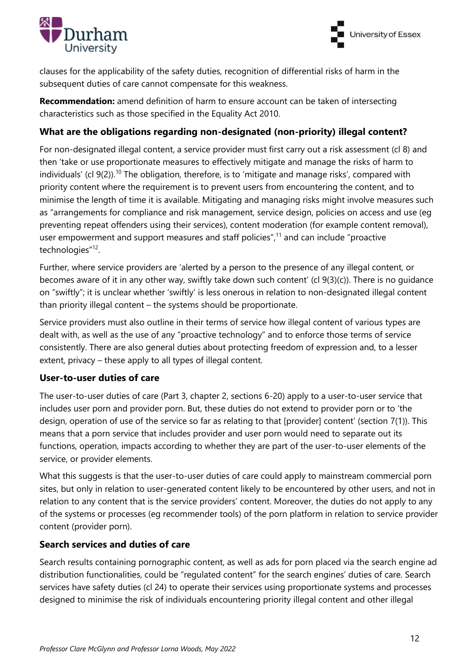



clauses for the applicability of the safety duties, recognition of differential risks of harm in the subsequent duties of care cannot compensate for this weakness.

**Recommendation:** amend definition of harm to ensure account can be taken of intersecting characteristics such as those specified in the Equality Act 2010.

#### **What are the obligations regarding non-designated (non-priority) illegal content?**

For non-designated illegal content, a service provider must first carry out a risk assessment (cl 8) and then 'take or use proportionate measures to effectively mitigate and manage the risks of harm to individuals' (cl  $9(2)$ ).<sup>10</sup> The obligation, therefore, is to 'mitigate and manage risks', compared with priority content where the requirement is to prevent users from encountering the content, and to minimise the length of time it is available. Mitigating and managing risks might involve measures such as "arrangements for compliance and risk management, service design, policies on access and use (eg preventing repeat offenders using their services), content moderation (for example content removal), user empowerment and support measures and staff policies",<sup>11</sup> and can include "proactive technologies"<sup>12</sup>.

Further, where service providers are 'alerted by a person to the presence of any illegal content, or becomes aware of it in any other way, swiftly take down such content' (cl 9(3)(c)). There is no guidance on "swiftly"; it is unclear whether 'swiftly' is less onerous in relation to non-designated illegal content than priority illegal content – the systems should be proportionate.

Service providers must also outline in their terms of service how illegal content of various types are dealt with, as well as the use of any "proactive technology" and to enforce those terms of service consistently. There are also general duties about protecting freedom of expression and, to a lesser extent, privacy – these apply to all types of illegal content.

#### **User-to-user duties of care**

The user-to-user duties of care (Part 3, chapter 2, sections 6-20) apply to a user-to-user service that includes user porn and provider porn. But, these duties do not extend to provider porn or to 'the design, operation of use of the service so far as relating to that [provider] content' (section 7(1)). This means that a porn service that includes provider and user porn would need to separate out its functions, operation, impacts according to whether they are part of the user-to-user elements of the service, or provider elements.

What this suggests is that the user-to-user duties of care could apply to mainstream commercial porn sites, but only in relation to user-generated content likely to be encountered by other users, and not in relation to any content that is the service providers' content. Moreover, the duties do not apply to any of the systems or processes (eg recommender tools) of the porn platform in relation to service provider content (provider porn).

#### **Search services and duties of care**

Search results containing pornographic content, as well as ads for porn placed via the search engine ad distribution functionalities, could be "regulated content" for the search engines' duties of care. Search services have safety duties (cl 24) to operate their services using proportionate systems and processes designed to minimise the risk of individuals encountering priority illegal content and other illegal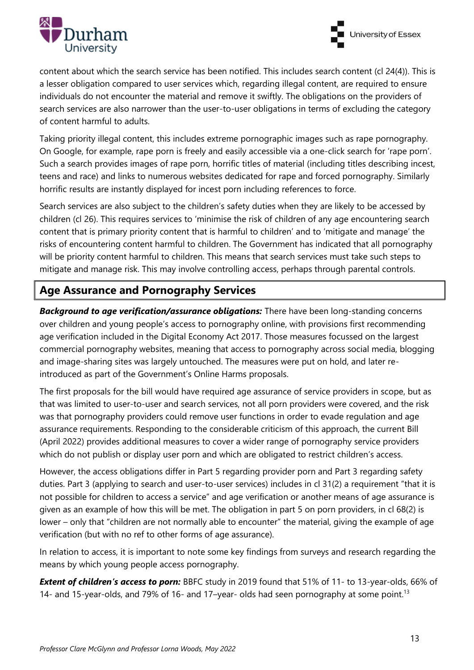



content about which the search service has been notified. This includes search content (cl 24(4)). This is a lesser obligation compared to user services which, regarding illegal content, are required to ensure individuals do not encounter the material and remove it swiftly. The obligations on the providers of search services are also narrower than the user-to-user obligations in terms of excluding the category of content harmful to adults.

Taking priority illegal content, this includes extreme pornographic images such as rape pornography. On Google, for example, rape porn is freely and easily accessible via a one-click search for 'rape porn'. Such a search provides images of rape porn, horrific titles of material (including titles describing incest, teens and race) and links to numerous websites dedicated for rape and forced pornography. Similarly horrific results are instantly displayed for incest porn including references to force.

Search services are also subject to the children's safety duties when they are likely to be accessed by children (cl 26). This requires services to 'minimise the risk of children of any age encountering search content that is primary priority content that is harmful to children' and to 'mitigate and manage' the risks of encountering content harmful to children. The Government has indicated that all pornography will be priority content harmful to children. This means that search services must take such steps to mitigate and manage risk. This may involve controlling access, perhaps through parental controls.

# **Age Assurance and Pornography Services**

*Background to age verification/assurance obligations:* There have been long-standing concerns over children and young people's access to pornography online, with provisions first recommending age verification included in the Digital Economy Act 2017. Those measures focussed on the largest commercial pornography websites, meaning that access to pornography across social media, blogging and image-sharing sites was largely untouched. The measures were put on hold, and later reintroduced as part of the Government's Online Harms proposals.

The first proposals for the bill would have required age assurance of service providers in scope, but as that was limited to user-to-user and search services, not all porn providers were covered, and the risk was that pornography providers could remove user functions in order to evade regulation and age assurance requirements. Responding to the considerable criticism of this approach, the current Bill (April 2022) provides additional measures to cover a wider range of pornography service providers which do not publish or display user porn and which are obligated to restrict children's access.

However, the access obligations differ in Part 5 regarding provider porn and Part 3 regarding safety duties. Part 3 (applying to search and user-to-user services) includes in cl 31(2) a requirement "that it is not possible for children to access a service" and age verification or another means of age assurance is given as an example of how this will be met. The obligation in part 5 on porn providers, in cl 68(2) is lower – only that "children are not normally able to encounter" the material, giving the example of age verification (but with no ref to other forms of age assurance).

In relation to access, it is important to note some key findings from surveys and research regarding the means by which young people access pornography.

**Extent of children's access to porn:** BBFC study in 2019 found that 51% of 11- to 13-year-olds, 66% of 14- and 15-year-olds, and 79% of 16- and 17-year- olds had seen pornography at some point.<sup>13</sup>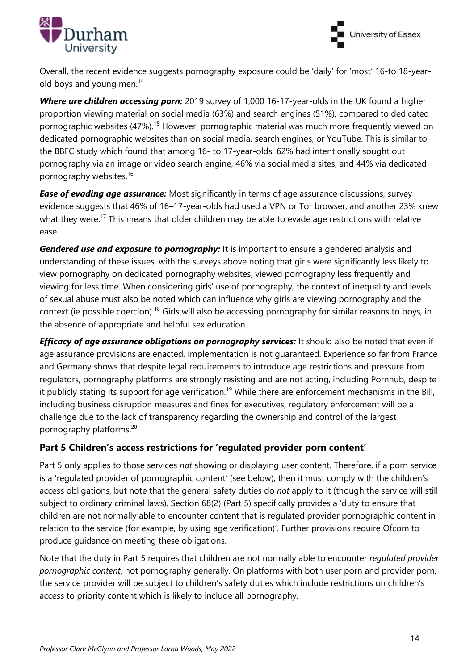



Overall, the recent evidence suggests pornography exposure could be 'daily' for 'most' 16‐to 18‐yearold boys and young men.<sup>14</sup>

*Where are children accessing porn:* 2019 survey of 1,000 16‐17-year-olds in the UK found a higher proportion viewing material on social media (63%) and search engines (51%), compared to dedicated pornographic websites (47%).<sup>15</sup> However, pornographic material was much more frequently viewed on dedicated pornographic websites than on social media, search engines, or YouTube. This is similar to the BBFC study which found that among 16‐ to 17‐year‐olds, 62% had intentionally sought out pornography via an image or video search engine, 46% via social media sites, and 44% via dedicated pornography websites.<sup>16</sup>

**Ease of evading age assurance:** Most significantly in terms of age assurance discussions, survey evidence suggests that 46% of 16–17-year-olds had used a VPN or Tor browser, and another 23% knew what they were.<sup>17</sup> This means that older children may be able to evade age restrictions with relative ease.

*Gendered use and exposure to pornography:* It is important to ensure a gendered analysis and understanding of these issues, with the surveys above noting that girls were significantly less likely to view pornography on dedicated pornography websites, viewed pornography less frequently and viewing for less time. When considering girls' use of pornography, the context of inequality and levels of sexual abuse must also be noted which can influence why girls are viewing pornography and the context (ie possible coercion).<sup>18</sup> Girls will also be accessing pornography for similar reasons to boys, in the absence of appropriate and helpful sex education.

*Efficacy of age assurance obligations on pornography services:* It should also be noted that even if age assurance provisions are enacted, implementation is not guaranteed. Experience so far from France and Germany shows that despite legal requirements to introduce age restrictions and pressure from regulators, pornography platforms are strongly resisting and are not acting, including Pornhub, despite it publicly stating its support for age verification.<sup>19</sup> While there are enforcement mechanisms in the Bill, including business disruption measures and fines for executives, regulatory enforcement will be a challenge due to the lack of transparency regarding the ownership and control of the largest pornography platforms.<sup>20</sup>

#### **Part 5 Children's access restrictions for 'regulated provider porn content'**

Part 5 only applies to those services *not* showing or displaying user content. Therefore, if a porn service is a 'regulated provider of pornographic content' (see below), then it must comply with the children's access obligations, but note that the general safety duties do *not* apply to it (though the service will still subject to ordinary criminal laws). Section 68(2) (Part 5) specifically provides a 'duty to ensure that children are not normally able to encounter content that is regulated provider pornographic content in relation to the service (for example, by using age verification)'. Further provisions require Ofcom to produce guidance on meeting these obligations.

Note that the duty in Part 5 requires that children are not normally able to encounter *regulated provider pornographic content*, not pornography generally. On platforms with both user porn and provider porn, the service provider will be subject to children's safety duties which include restrictions on children's access to priority content which is likely to include all pornography.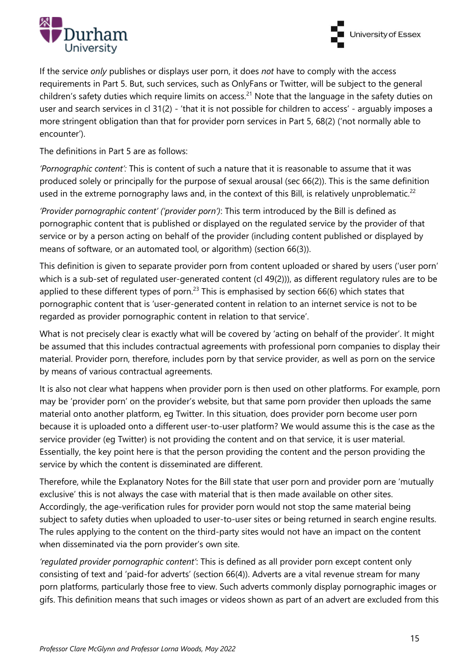



If the service *only* publishes or displays user porn, it does *not* have to comply with the access requirements in Part 5. But, such services, such as OnlyFans or Twitter, will be subject to the general children's safety duties which require limits on access.<sup>21</sup> Note that the language in the safety duties on user and search services in cl 31(2) - 'that it is not possible for children to access' - arguably imposes a more stringent obligation than that for provider porn services in Part 5, 68(2) ('not normally able to encounter').

The definitions in Part 5 are as follows:

*'Pornographic content':* This is content of such a nature that it is reasonable to assume that it was produced solely or principally for the purpose of sexual arousal (sec 66(2)). This is the same definition used in the extreme pornography laws and, in the context of this Bill, is relatively unproblematic.<sup>22</sup>

*'Provider pornographic content' ('provider porn')*: This term introduced by the Bill is defined as pornographic content that is published or displayed on the regulated service by the provider of that service or by a person acting on behalf of the provider (including content published or displayed by means of software, or an automated tool, or algorithm) (section 66(3)).

This definition is given to separate provider porn from content uploaded or shared by users ('user porn' which is a sub-set of regulated user-generated content (cl 49(2))), as different regulatory rules are to be applied to these different types of porn.<sup>23</sup> This is emphasised by section 66(6) which states that pornographic content that is 'user-generated content in relation to an internet service is not to be regarded as provider pornographic content in relation to that service'.

What is not precisely clear is exactly what will be covered by 'acting on behalf of the provider'. It might be assumed that this includes contractual agreements with professional porn companies to display their material. Provider porn, therefore, includes porn by that service provider, as well as porn on the service by means of various contractual agreements.

It is also not clear what happens when provider porn is then used on other platforms. For example, porn may be 'provider porn' on the provider's website, but that same porn provider then uploads the same material onto another platform, eg Twitter. In this situation, does provider porn become user porn because it is uploaded onto a different user-to-user platform? We would assume this is the case as the service provider (eg Twitter) is not providing the content and on that service, it is user material. Essentially, the key point here is that the person providing the content and the person providing the service by which the content is disseminated are different.

Therefore, while the Explanatory Notes for the Bill state that user porn and provider porn are 'mutually exclusive' this is not always the case with material that is then made available on other sites. Accordingly, the age-verification rules for provider porn would not stop the same material being subject to safety duties when uploaded to user-to-user sites or being returned in search engine results. The rules applying to the content on the third-party sites would not have an impact on the content when disseminated via the porn provider's own site.

*'regulated provider pornographic content'*: This is defined as all provider porn except content only consisting of text and 'paid-for adverts' (section 66(4)). Adverts are a vital revenue stream for many porn platforms, particularly those free to view. Such adverts commonly display pornographic images or gifs. This definition means that such images or videos shown as part of an advert are excluded from this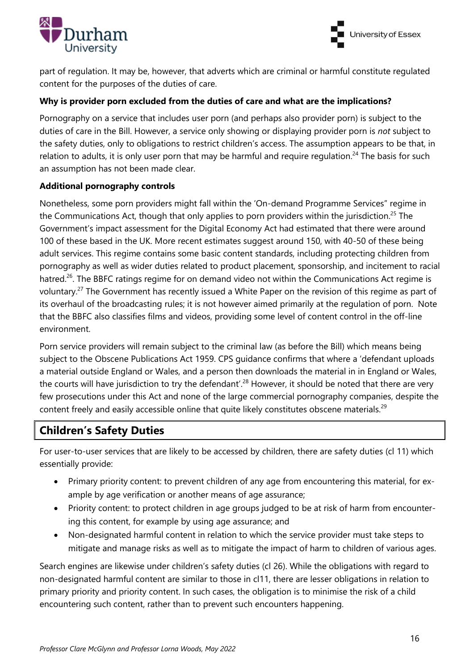



part of regulation. It may be, however, that adverts which are criminal or harmful constitute regulated content for the purposes of the duties of care.

#### **Why is provider porn excluded from the duties of care and what are the implications?**

Pornography on a service that includes user porn (and perhaps also provider porn) is subject to the duties of care in the Bill. However, a service only showing or displaying provider porn is *not* subject to the safety duties, only to obligations to restrict children's access. The assumption appears to be that, in relation to adults, it is only user porn that may be harmful and require requlation.<sup>24</sup> The basis for such an assumption has not been made clear.

#### **Additional pornography controls**

Nonetheless, some porn providers might fall within the 'On-demand Programme Services" regime in the Communications Act, though that only applies to porn providers within the jurisdiction.<sup>25</sup> The Government's impact assessment for the Digital Economy Act had estimated that there were around 100 of these based in the UK. More recent estimates suggest around 150, with 40-50 of these being adult services. This regime contains some basic content standards, including protecting children from pornography as well as wider duties related to product placement, sponsorship, and incitement to racial hatred.<sup>26</sup>. The BBFC ratings regime for on demand video not within the Communications Act regime is voluntary.<sup>27</sup> The Government has recently issued a White Paper on the revision of this regime as part of its overhaul of the broadcasting rules; it is not however aimed primarily at the regulation of porn. Note that the BBFC also classifies films and videos, providing some level of content control in the off-line environment.

Porn service providers will remain subject to the criminal law (as before the Bill) which means being subject to the Obscene Publications Act 1959. CPS guidance confirms that where a 'defendant uploads a material outside England or Wales, and a person then downloads the material in in England or Wales, the courts will have jurisdiction to try the defendant'.<sup>28</sup> However, it should be noted that there are very few prosecutions under this Act and none of the large commercial pornography companies, despite the content freely and easily accessible online that quite likely constitutes obscene materials.<sup>29</sup>

## **Children's Safety Duties**

For user-to-user services that are likely to be accessed by children, there are safety duties (cl 11) which essentially provide:

- Primary priority content: to prevent children of any age from encountering this material, for example by age verification or another means of age assurance;
- Priority content: to protect children in age groups judged to be at risk of harm from encountering this content, for example by using age assurance; and
- Non-designated harmful content in relation to which the service provider must take steps to mitigate and manage risks as well as to mitigate the impact of harm to children of various ages.

Search engines are likewise under children's safety duties (cl 26). While the obligations with regard to non-designated harmful content are similar to those in cl11, there are lesser obligations in relation to primary priority and priority content. In such cases, the obligation is to minimise the risk of a child encountering such content, rather than to prevent such encounters happening.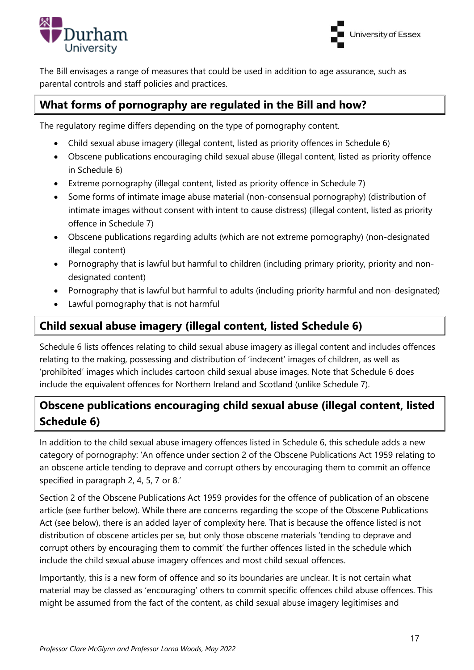



The Bill envisages a range of measures that could be used in addition to age assurance, such as parental controls and staff policies and practices.

## **What forms of pornography are regulated in the Bill and how?**

The regulatory regime differs depending on the type of pornography content.

- Child sexual abuse imagery (illegal content, listed as priority offences in Schedule 6)
- Obscene publications encouraging child sexual abuse (illegal content, listed as priority offence in Schedule 6)
- Extreme pornography (illegal content, listed as priority offence in Schedule 7)
- Some forms of intimate image abuse material (non-consensual pornography) (distribution of intimate images without consent with intent to cause distress) (illegal content, listed as priority offence in Schedule 7)
- Obscene publications regarding adults (which are not extreme pornography) (non-designated illegal content)
- Pornography that is lawful but harmful to children (including primary priority, priority and nondesignated content)
- Pornography that is lawful but harmful to adults (including priority harmful and non-designated)
- Lawful pornography that is not harmful

## **Child sexual abuse imagery (illegal content, listed Schedule 6)**

Schedule 6 lists offences relating to child sexual abuse imagery as illegal content and includes offences relating to the making, possessing and distribution of 'indecent' images of children, as well as 'prohibited' images which includes cartoon child sexual abuse images. Note that Schedule 6 does include the equivalent offences for Northern Ireland and Scotland (unlike Schedule 7).

# **Obscene publications encouraging child sexual abuse (illegal content, listed Schedule 6)**

In addition to the child sexual abuse imagery offences listed in Schedule 6, this schedule adds a new category of pornography: 'An offence under section 2 of the Obscene Publications Act 1959 relating to an obscene article tending to deprave and corrupt others by encouraging them to commit an offence specified in paragraph 2, 4, 5, 7 or 8.'

Section 2 of the Obscene Publications Act 1959 provides for the offence of publication of an obscene article (see further below). While there are concerns regarding the scope of the Obscene Publications Act (see below), there is an added layer of complexity here. That is because the offence listed is not distribution of obscene articles per se, but only those obscene materials 'tending to deprave and corrupt others by encouraging them to commit' the further offences listed in the schedule which include the child sexual abuse imagery offences and most child sexual offences.

Importantly, this is a new form of offence and so its boundaries are unclear. It is not certain what material may be classed as 'encouraging' others to commit specific offences child abuse offences. This might be assumed from the fact of the content, as child sexual abuse imagery legitimises and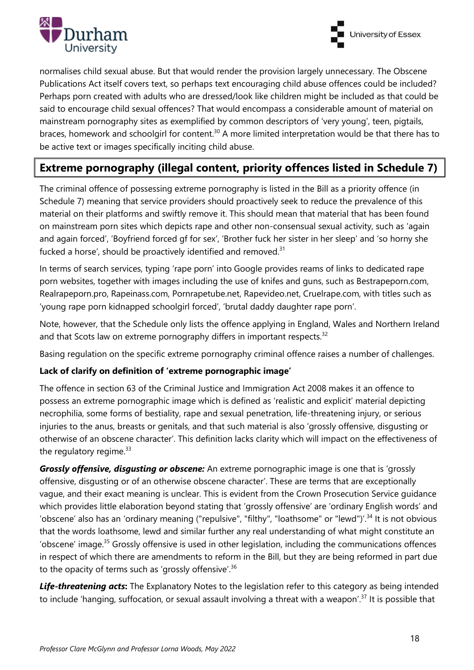



normalises child sexual abuse. But that would render the provision largely unnecessary. The Obscene Publications Act itself covers text, so perhaps text encouraging child abuse offences could be included? Perhaps porn created with adults who are dressed/look like children might be included as that could be said to encourage child sexual offences? That would encompass a considerable amount of material on mainstream pornography sites as exemplified by common descriptors of 'very young', teen, pigtails, braces, homework and schoolgirl for content.<sup>30</sup> A more limited interpretation would be that there has to be active text or images specifically inciting child abuse.

# **Extreme pornography (illegal content, priority offences listed in Schedule 7)**

The criminal offence of possessing extreme pornography is listed in the Bill as a priority offence (in Schedule 7) meaning that service providers should proactively seek to reduce the prevalence of this material on their platforms and swiftly remove it. This should mean that material that has been found on mainstream porn sites which depicts rape and other non-consensual sexual activity, such as 'again and again forced', 'Boyfriend forced gf for sex', 'Brother fuck her sister in her sleep' and 'so horny she fucked a horse', should be proactively identified and removed. $31$ 

In terms of search services, typing 'rape porn' into Google provides reams of links to dedicated rape porn websites, together with images including the use of knifes and guns, such as Bestrapeporn.com, Realrapeporn.pro, Rapeinass.com, Pornrapetube.net, Rapevideo.net, Cruelrape.com, with titles such as 'young rape porn kidnapped schoolgirl forced', 'brutal daddy daughter rape porn'.

Note, however, that the Schedule only lists the offence applying in England, Wales and Northern Ireland and that Scots law on extreme pornography differs in important respects.<sup>32</sup>

Basing regulation on the specific extreme pornography criminal offence raises a number of challenges.

#### **Lack of clarify on definition of 'extreme pornographic image'**

The offence in section 63 of the Criminal Justice and Immigration Act 2008 makes it an offence to possess an extreme pornographic image which is defined as 'realistic and explicit' material depicting necrophilia, some forms of bestiality, rape and sexual penetration, life-threatening injury, or serious injuries to the anus, breasts or genitals, and that such material is also 'grossly offensive, disgusting or otherwise of an obscene character'. This definition lacks clarity which will impact on the effectiveness of the regulatory regime. $33$ 

*Grossly offensive, disgusting or obscene:* An extreme pornographic image is one that is 'grossly offensive, disgusting or of an otherwise obscene character'. These are terms that are exceptionally vague, and their exact meaning is unclear. This is evident from the Crown Prosecution Service guidance which provides little elaboration beyond stating that 'grossly offensive' are 'ordinary English words' and 'obscene' also has an 'ordinary meaning ("repulsive", "filthy", "loathsome" or "lewd")'.<sup>34</sup> It is not obvious that the words loathsome, lewd and similar further any real understanding of what might constitute an 'obscene' image.<sup>35</sup> Grossly offensive is used in other legislation, including the communications offences in respect of which there are amendments to reform in the Bill, but they are being reformed in part due to the opacity of terms such as 'grossly offensive'.<sup>36</sup>

*Life-threatening acts***:** The Explanatory Notes to the legislation refer to this category as being intended to include 'hanging, suffocation, or sexual assault involving a threat with a weapon'.<sup>37</sup> It is possible that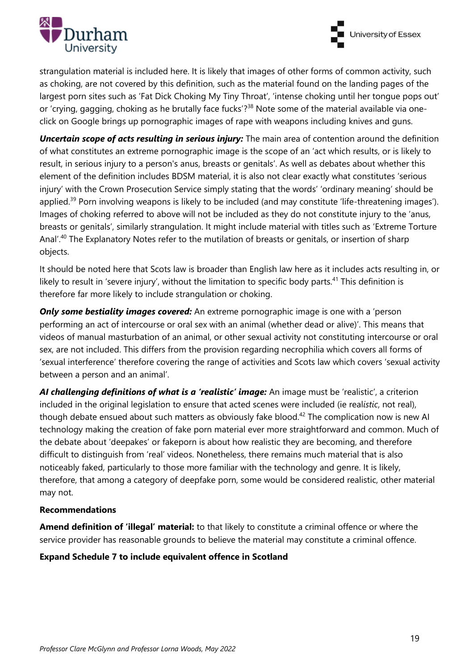



strangulation material is included here. It is likely that images of other forms of common activity, such as choking, are not covered by this definition, such as the material found on the landing pages of the largest porn sites such as 'Fat Dick Choking My Tiny Throat', 'intense choking until her tongue pops out' or 'crying, gagging, choking as he brutally face fucks'?<sup>38</sup> Note some of the material available via oneclick on Google brings up pornographic images of rape with weapons including knives and guns.

*Uncertain scope of acts resulting in serious injury:* The main area of contention around the definition of what constitutes an extreme pornographic image is the scope of an 'act which results, or is likely to result, in serious injury to a person's anus, breasts or genitals'. As well as debates about whether this element of the definition includes BDSM material, it is also not clear exactly what constitutes 'serious injury' with the Crown Prosecution Service simply stating that the words' 'ordinary meaning' should be applied.<sup>39</sup> Porn involving weapons is likely to be included (and may constitute 'life-threatening images'). Images of choking referred to above will not be included as they do not constitute injury to the 'anus, breasts or genitals', similarly strangulation. It might include material with titles such as 'Extreme Torture Anal'.<sup>40</sup> The Explanatory Notes refer to the mutilation of breasts or genitals, or insertion of sharp objects.

It should be noted here that Scots law is broader than English law here as it includes acts resulting in, or likely to result in 'severe injury', without the limitation to specific body parts.<sup>41</sup> This definition is therefore far more likely to include strangulation or choking.

**Only some bestiality images covered:** An extreme pornographic image is one with a 'person performing an act of intercourse or oral sex with an animal (whether dead or alive)'. This means that videos of manual masturbation of an animal, or other sexual activity not constituting intercourse or oral sex, are not included. This differs from the provision regarding necrophilia which covers all forms of 'sexual interference' therefore covering the range of activities and Scots law which covers 'sexual activity between a person and an animal'.

*AI challenging definitions of what is a 'realistic' image:* An image must be 'realistic', a criterion included in the original legislation to ensure that acted scenes were included (ie real*istic*, not real), though debate ensued about such matters as obviously fake blood.<sup>42</sup> The complication now is new Al technology making the creation of fake porn material ever more straightforward and common. Much of the debate about 'deepakes' or fakeporn is about how realistic they are becoming, and therefore difficult to distinguish from 'real' videos. Nonetheless, there remains much material that is also noticeably faked, particularly to those more familiar with the technology and genre. It is likely, therefore, that among a category of deepfake porn, some would be considered realistic, other material may not.

#### **Recommendations**

**Amend definition of 'illegal' material:** to that likely to constitute a criminal offence or where the service provider has reasonable grounds to believe the material may constitute a criminal offence.

**Expand Schedule 7 to include equivalent offence in Scotland**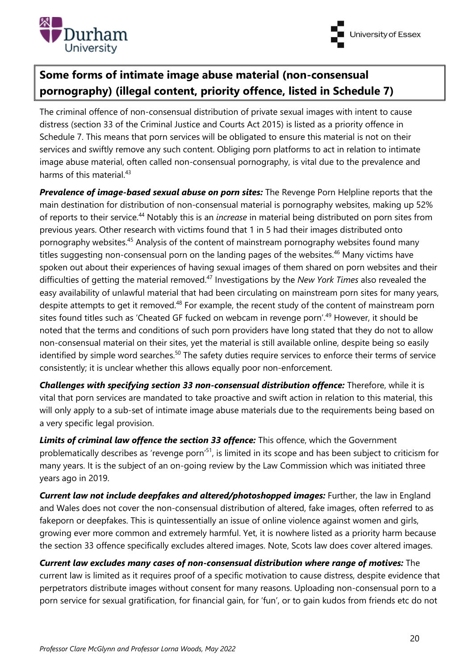



# **Some forms of intimate image abuse material (non-consensual pornography) (illegal content, priority offence, listed in Schedule 7)**

The criminal offence of non-consensual distribution of private sexual images with intent to cause distress (section 33 of the Criminal Justice and Courts Act 2015) is listed as a priority offence in Schedule 7. This means that porn services will be obligated to ensure this material is not on their services and swiftly remove any such content. Obliging porn platforms to act in relation to intimate image abuse material, often called non-consensual pornography, is vital due to the prevalence and harms of this material.<sup>43</sup>

**Prevalence of image-based sexual abuse on porn sites:** The Revenge Porn Helpline reports that the main destination for distribution of non-consensual material is pornography websites, making up 52% of reports to their service.<sup>44</sup> Notably this is an *increase* in material being distributed on porn sites from previous years. Other research with victims found that 1 in 5 had their images distributed onto pornography websites.<sup>45</sup> Analysis of the content of mainstream pornography websites found many titles suggesting non-consensual porn on the landing pages of the websites.<sup>46</sup> Many victims have spoken out about their experiences of having sexual images of them shared on porn websites and their difficulties of getting the material removed.<sup>47</sup> Investigations by the *New York Times* also revealed the easy availability of unlawful material that had been circulating on mainstream porn sites for many years, despite attempts to get it removed.<sup>48</sup> For example, the recent study of the content of mainstream porn sites found titles such as 'Cheated GF fucked on webcam in revenge porn'.<sup>49</sup> However, it should be noted that the terms and conditions of such porn providers have long stated that they do not to allow non-consensual material on their sites, yet the material is still available online, despite being so easily identified by simple word searches.<sup>50</sup> The safety duties require services to enforce their terms of service consistently; it is unclear whether this allows equally poor non-enforcement.

*Challenges with specifying section 33 non-consensual distribution offence:* Therefore, while it is vital that porn services are mandated to take proactive and swift action in relation to this material, this will only apply to a sub-set of intimate image abuse materials due to the requirements being based on a very specific legal provision.

*Limits of criminal law offence the section 33 offence:* This offence, which the Government problematically describes as 'revenge porn'<sup>51</sup>, is limited in its scope and has been subject to criticism for many years. It is the subject of an on-going review by the Law Commission which was initiated three years ago in 2019.

*Current law not include deepfakes and altered/photoshopped images:* Further, the law in England and Wales does not cover the non-consensual distribution of altered, fake images, often referred to as fakeporn or deepfakes. This is quintessentially an issue of online violence against women and girls, growing ever more common and extremely harmful. Yet, it is nowhere listed as a priority harm because the section 33 offence specifically excludes altered images. Note, Scots law does cover altered images.

*Current law excludes many cases of non-consensual distribution where range of motives:* The current law is limited as it requires proof of a specific motivation to cause distress, despite evidence that perpetrators distribute images without consent for many reasons. Uploading non-consensual porn to a porn service for sexual gratification, for financial gain, for 'fun', or to gain kudos from friends etc do not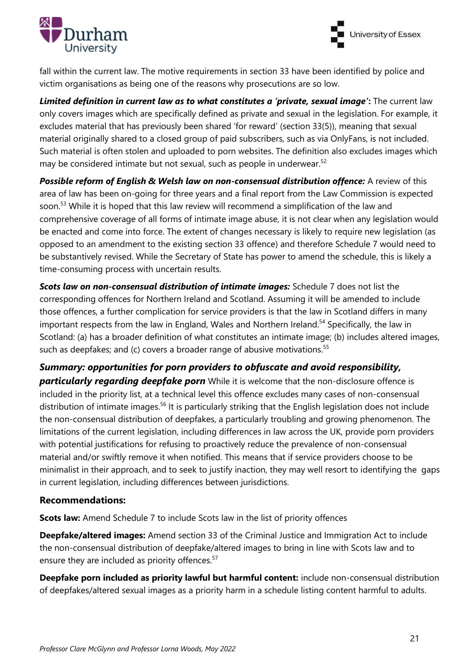



fall within the current law. The motive requirements in section 33 have been identified by police and victim organisations as being one of the reasons why prosecutions are so low.

*Limited definition in current law as to what constitutes a 'private, sexual image'***:** The current law only covers images which are specifically defined as private and sexual in the legislation. For example, it excludes material that has previously been shared 'for reward' (section 33(5)), meaning that sexual material originally shared to a closed group of paid subscribers, such as via OnlyFans, is not included. Such material is often stolen and uploaded to porn websites. The definition also excludes images which may be considered intimate but not sexual, such as people in underwear.<sup>52</sup>

*Possible reform of English & Welsh law on non-consensual distribution offence:* A review of this area of law has been on-going for three years and a final report from the Law Commission is expected soon.<sup>53</sup> While it is hoped that this law review will recommend a simplification of the law and comprehensive coverage of all forms of intimate image abuse, it is not clear when any legislation would be enacted and come into force. The extent of changes necessary is likely to require new legislation (as opposed to an amendment to the existing section 33 offence) and therefore Schedule 7 would need to be substantively revised. While the Secretary of State has power to amend the schedule, this is likely a time-consuming process with uncertain results.

*Scots law on non-consensual distribution of intimate images:* Schedule 7 does not list the corresponding offences for Northern Ireland and Scotland. Assuming it will be amended to include those offences, a further complication for service providers is that the law in Scotland differs in many important respects from the law in England, Wales and Northern Ireland.<sup>54</sup> Specifically, the law in Scotland: (a) has a broader definition of what constitutes an intimate image; (b) includes altered images, such as deepfakes; and (c) covers a broader range of abusive motivations.<sup>55</sup>

*Summary: opportunities for porn providers to obfuscate and avoid responsibility,*  **particularly regarding deepfake porn** While it is welcome that the non-disclosure offence is included in the priority list, at a technical level this offence excludes many cases of non-consensual distribution of intimate images.<sup>56</sup> It is particularly striking that the English legislation does not include the non-consensual distribution of deepfakes, a particularly troubling and growing phenomenon. The limitations of the current legislation, including differences in law across the UK, provide porn providers with potential justifications for refusing to proactively reduce the prevalence of non-consensual material and/or swiftly remove it when notified. This means that if service providers choose to be minimalist in their approach, and to seek to justify inaction, they may well resort to identifying the gaps in current legislation, including differences between jurisdictions.

#### **Recommendations:**

**Scots law:** Amend Schedule 7 to include Scots law in the list of priority offences

**Deepfake/altered images:** Amend section 33 of the Criminal Justice and Immigration Act to include the non-consensual distribution of deepfake/altered images to bring in line with Scots law and to ensure they are included as priority offences.<sup>57</sup>

**Deepfake porn included as priority lawful but harmful content:** include non-consensual distribution of deepfakes/altered sexual images as a priority harm in a schedule listing content harmful to adults.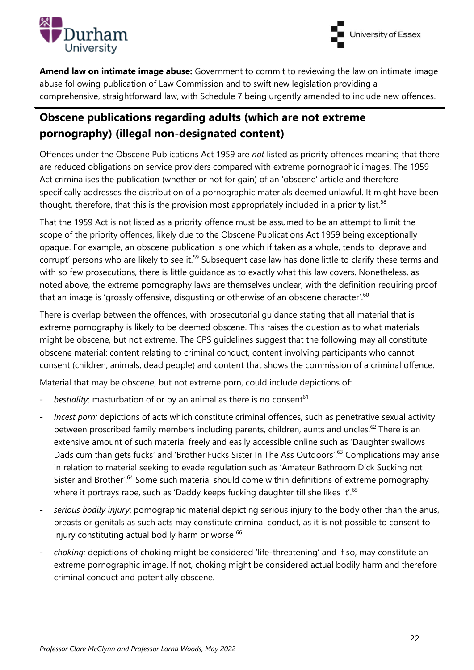



**Amend law on intimate image abuse:** Government to commit to reviewing the law on intimate image abuse following publication of Law Commission and to swift new legislation providing a comprehensive, straightforward law, with Schedule 7 being urgently amended to include new offences.

# **Obscene publications regarding adults (which are not extreme pornography) (illegal non-designated content)**

Offences under the Obscene Publications Act 1959 are *not* listed as priority offences meaning that there are reduced obligations on service providers compared with extreme pornographic images. The 1959 Act criminalises the publication (whether or not for gain) of an 'obscene' article and therefore specifically addresses the distribution of a pornographic materials deemed unlawful. It might have been thought, therefore, that this is the provision most appropriately included in a priority list.<sup>58</sup>

That the 1959 Act is not listed as a priority offence must be assumed to be an attempt to limit the scope of the priority offences, likely due to the Obscene Publications Act 1959 being exceptionally opaque. For example, an obscene publication is one which if taken as a whole, tends to 'deprave and corrupt' persons who are likely to see it.<sup>59</sup> Subsequent case law has done little to clarify these terms and with so few prosecutions, there is little guidance as to exactly what this law covers. Nonetheless, as noted above, the extreme pornography laws are themselves unclear, with the definition requiring proof that an image is 'grossly offensive, disgusting or otherwise of an obscene character'.<sup>60</sup>

There is overlap between the offences, with prosecutorial guidance stating that all material that is extreme pornography is likely to be deemed obscene. This raises the question as to what materials might be obscene, but not extreme. The CPS guidelines suggest that the following may all constitute obscene material: content relating to criminal conduct, content involving participants who cannot consent (children, animals, dead people) and content that shows the commission of a criminal offence.

Material that may be obscene, but not extreme porn, could include depictions of:

- bestiality: masturbation of or by an animal as there is no consent<sup>61</sup>
- *Incest porn:* depictions of acts which constitute criminal offences, such as penetrative sexual activity between proscribed family members including parents, children, aunts and uncles.<sup>62</sup> There is an extensive amount of such material freely and easily accessible online such as 'Daughter swallows Dads cum than gets fucks' and 'Brother Fucks Sister In The Ass Outdoors'.<sup>63</sup> Complications may arise in relation to material seeking to evade regulation such as 'Amateur Bathroom Dick Sucking not Sister and Brother'.<sup>64</sup> Some such material should come within definitions of extreme pornography where it portrays rape, such as 'Daddy keeps fucking daughter till she likes it'.<sup>65</sup>
- serious bodily injury: pornographic material depicting serious injury to the body other than the anus, breasts or genitals as such acts may constitute criminal conduct, as it is not possible to consent to injury constituting actual bodily harm or worse <sup>66</sup>
- *choking:* depictions of choking might be considered 'life-threatening' and if so, may constitute an extreme pornographic image. If not, choking might be considered actual bodily harm and therefore criminal conduct and potentially obscene.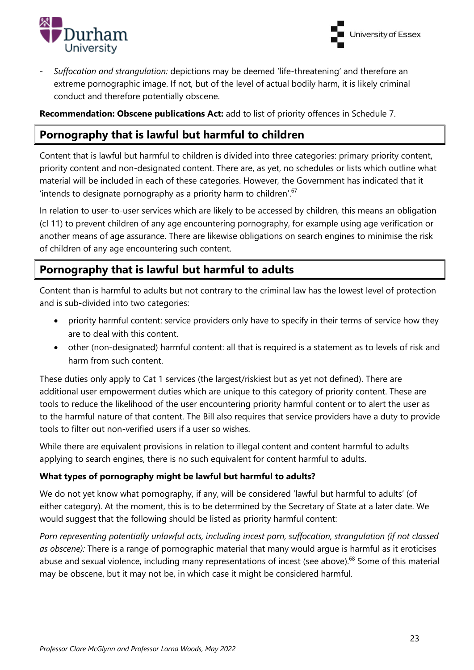



- *Suffocation and strangulation:* depictions may be deemed 'life-threatening' and therefore an extreme pornographic image. If not, but of the level of actual bodily harm, it is likely criminal conduct and therefore potentially obscene.

**Recommendation: Obscene publications Act:** add to list of priority offences in Schedule 7.

# **Pornography that is lawful but harmful to children**

Content that is lawful but harmful to children is divided into three categories: primary priority content, priority content and non-designated content. There are, as yet, no schedules or lists which outline what material will be included in each of these categories. However, the Government has indicated that it 'intends to designate pornography as a priority harm to children'. $67$ 

In relation to user-to-user services which are likely to be accessed by children, this means an obligation (cl 11) to prevent children of any age encountering pornography, for example using age verification or another means of age assurance. There are likewise obligations on search engines to minimise the risk of children of any age encountering such content.

# **Pornography that is lawful but harmful to adults**

Content than is harmful to adults but not contrary to the criminal law has the lowest level of protection and is sub-divided into two categories:

- priority harmful content: service providers only have to specify in their terms of service how they are to deal with this content.
- other (non-designated) harmful content: all that is required is a statement as to levels of risk and harm from such content.

These duties only apply to Cat 1 services (the largest/riskiest but as yet not defined). There are additional user empowerment duties which are unique to this category of priority content. These are tools to reduce the likelihood of the user encountering priority harmful content or to alert the user as to the harmful nature of that content. The Bill also requires that service providers have a duty to provide tools to filter out non-verified users if a user so wishes.

While there are equivalent provisions in relation to illegal content and content harmful to adults applying to search engines, there is no such equivalent for content harmful to adults.

#### **What types of pornography might be lawful but harmful to adults?**

We do not yet know what pornography, if any, will be considered 'lawful but harmful to adults' (of either category). At the moment, this is to be determined by the Secretary of State at a later date. We would suggest that the following should be listed as priority harmful content:

*Porn representing potentially unlawful acts, including incest porn, suffocation, strangulation (if not classed as obscene):* There is a range of pornographic material that many would argue is harmful as it eroticises abuse and sexual violence, including many representations of incest (see above).<sup>68</sup> Some of this material may be obscene, but it may not be, in which case it might be considered harmful.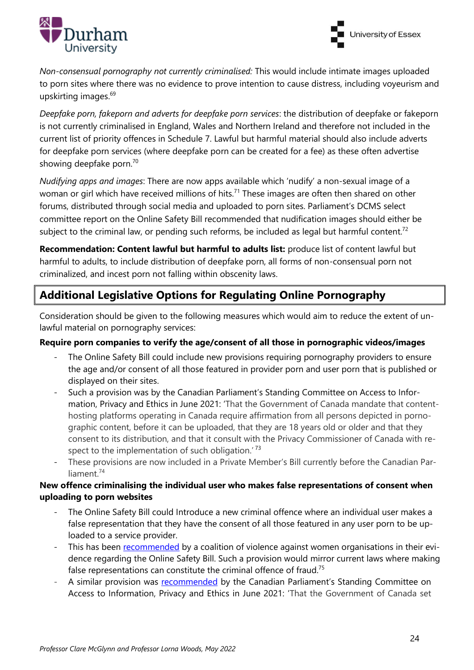



*Non-consensual pornography not currently criminalised:* This would include intimate images uploaded to porn sites where there was no evidence to prove intention to cause distress, including voyeurism and upskirting images.<sup>69</sup>

*Deepfake porn, fakeporn and adverts for deepfake porn services*: the distribution of deepfake or fakeporn is not currently criminalised in England, Wales and Northern Ireland and therefore not included in the current list of priority offences in Schedule 7. Lawful but harmful material should also include adverts for deepfake porn services (where deepfake porn can be created for a fee) as these often advertise showing deepfake porn.<sup>70</sup>

*Nudifying apps and images*: There are now apps available which 'nudify' a non-sexual image of a woman or girl which have received millions of hits.<sup>71</sup> These images are often then shared on other forums, distributed through social media and uploaded to porn sites. Parliament's DCMS select committee report on the Online Safety Bill recommended that nudification images should either be subject to the criminal law, or pending such reforms, be included as legal but harmful content.<sup>72</sup>

**Recommendation: Content lawful but harmful to adults list:** produce list of content lawful but harmful to adults, to include distribution of deepfake porn, all forms of non-consensual porn not criminalized, and incest porn not falling within obscenity laws.

# **Additional Legislative Options for Regulating Online Pornography**

Consideration should be given to the following measures which would aim to reduce the extent of unlawful material on pornography services:

#### **Require porn companies to verify the age/consent of all those in pornographic videos/images**

- The Online Safety Bill could include new provisions requiring pornography providers to ensure the age and/or consent of all those featured in provider porn and user porn that is published or displayed on their sites.
- Such a provision was by the Canadian Parliament's Standing Committee on Access to Information, Privacy and Ethics in June 2021: 'That the Government of Canada mandate that contenthosting platforms operating in Canada require affirmation from all persons depicted in pornographic content, before it can be uploaded, that they are 18 years old or older and that they consent to its distribution, and that it consult with the Privacy Commissioner of Canada with respect to the implementation of such obligation.<sup>' 73</sup>
- These provisions are now included in a Private Member's Bill currently before the Canadian Parliament.<sup>74</sup>

#### **New offence criminalising the individual user who makes false representations of consent when uploading to porn websites**

- The Online Safety Bill could Introduce a new criminal offence where an individual user makes a false representation that they have the consent of all those featured in any user porn to be uploaded to a service provider.
- This has been [recommended](https://committees.parliament.uk/writtenevidence/39075/pdf/) by a coalition of violence against women organisations in their evidence regarding the Online Safety Bill. Such a provision would mirror current laws where making false representations can constitute the criminal offence of fraud.<sup>75</sup>
- A similar provision was [recommended](https://www.ourcommons.ca/DocumentViewer/en/43-2/ETHI/report-3) by the Canadian Parliament's Standing Committee on Access to Information, Privacy and Ethics in June 2021: 'That the Government of Canada set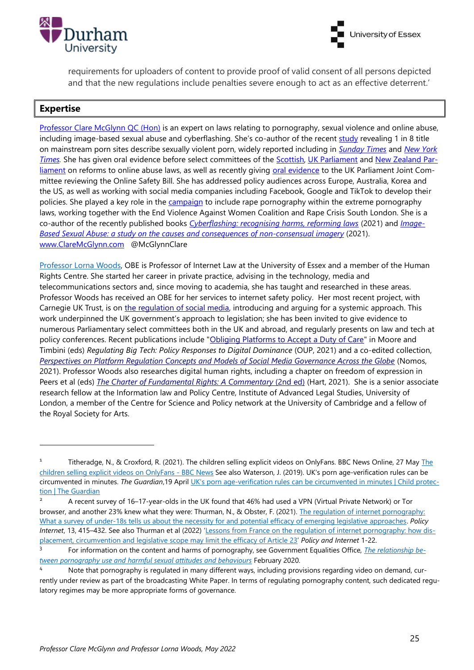



requirements for uploaders of content to provide proof of valid consent of all persons depicted and that the new regulations include penalties severe enough to act as an effective deterrent.'

#### **Expertise**

[Professor Clare McGlynn](https://www.durham.ac.uk/staff/clare-mcglynn/) QC (Hon) is an expert on laws relating to pornography, sexual violence and online abuse, including image-based sexual abuse and cyberflashing. She's co-author of the recent [study](https://academic.oup.com/bjc/article/61/5/1243/6208896) revealing 1 in 8 title on mainstream porn sites describe sexually violent porn, widely reported including in *[Sunday Times](https://www.thetimes.co.uk/article/porn-sites-used-by-children-show-criminal-sex-acts-zsl5x6rjd)* and *[New York](https://www.nytimes.com/2021/04/16/opinion/sunday/companies-online-rape-videos.html)  [Times.](https://www.nytimes.com/2021/04/16/opinion/sunday/companies-online-rape-videos.html)* She has given oral evidence before select committees of the [Scottish,](https://www.youtube.com/watch?v=E4-zrwJjRhE&feature=youtu.be&t=2h32m42s) [UK Parliament](http://data.parliament.uk/writtenevidence/committeeevidence.svc/evidencedocument/women-and-equalities-committee/womens-experiences-of-everyday-sexism-and-sexual-harassment/oral/75330.html) and New Zealand Parliament on reforms to online abuse laws, as well as recently giving [oral evidence](https://committees.parliament.uk/event/5556/formal-meeting-oral-evidence-session/) to the UK Parliament Joint Committee reviewing the Online Safety Bill. She has addressed policy audiences across Europe, Australia, Korea and the US, as well as working with social media companies including Facebook, Google and TikTok to develop their policies. She played a key role in the [campaign](http://www.womensgrid.org.uk/groups/?p=2965) to include rape pornography within the extreme pornography laws, working together with the End Violence Against Women Coalition and Rape Crisis South London. She is a co-author of the recently published books *[Cyberflashing: recognising harms, reforming laws](https://bristoluniversitypress.co.uk/cyberflashing)* (2021) and *[Image-](https://www.routledge.com/Image-based-sexual-abuse-A-study-on-the-causes-and-consequences-of-non-consensual/Henry-Mcglynn-Flynn-Johnson-Powell-Scott/p/book/9780815353836)[Based Sexual Abuse: a study on the causes and consequences of non-consensual imagery](https://www.routledge.com/Image-based-sexual-abuse-A-study-on-the-causes-and-consequences-of-non-consensual/Henry-Mcglynn-Flynn-Johnson-Powell-Scott/p/book/9780815353836)* (2021). [www.ClareMcGlynn.com](http://www.claremcglynn.com/) @McGlynnClare

[Professor Lorna Woods,](https://www.essex.ac.uk/people/woods91406/lorna-woods) OBE is Professor of Internet Law at the University of Essex and a member of the Human Rights Centre. She started her career in private practice, advising in the technology, media and telecommunications sectors and, since moving to academia, she has taught and researched in these areas. Professor Woods has received an OBE for her services to internet safety policy. Her most recent project, with Carnegie UK Trust, is on [the regulation of social media,](https://d1ssu070pg2v9i.cloudfront.net/pex/pex_carnegie2021/2019/04/06084627/Online-harm-reduction-a-statutory-duty-of-care-and-regulator.pdf) introducing and arguing for a systemic approach. This work underpinned the UK government's approach to legislation; she has been invited to give evidence to numerous Parliamentary select committees both in the UK and abroad, and regularly presents on law and tech at policy conferences. Recent publications include ["Obliging Platforms to Accept a Duty of Care"](https://oxford.universitypressscholarship.com/view/10.1093/oso/9780197616093.001.0001/oso-9780197616093-chapter-6) in Moore and Timbini (eds) *Regulating Big Tech: Policy Responses to Digital Dominance* (OUP, 2021) and a co-edited collection, *[Perspectives on Platform Regulation Concepts and Models of Social Media Governance Across the Globe](https://www.nomos-elibrary.de/10.5771/9783748929789/perspectives-on-platform-regulation)* (Nomos, 2021). Professor Woods also researches digital human rights, including a chapter on freedom of expression in Peers et al (eds) *[The Charter of Fundamental Rights: A Commentary](https://www.bloomsbury.com/uk/eu-charter-of-fundamental-rights-9781509933471/)* (2nd ed) (Hart, 2021). She is a senior associate research fellow at the Information law and Policy Centre, Institute of Advanced Legal Studies, University of London, a member of the Centre for Science and Policy network at the University of Cambridge and a fellow of the Royal Society for Arts.

<sup>1</sup> Titheradge, N., & Croxford, R. (2021). [The](https://www.bbc.co.uk/news/uk-57255983) children selling explicit videos on OnlyFans. BBC News Online, 27 May The [children selling explicit videos on OnlyFans -](https://www.bbc.co.uk/news/uk-57255983) BBC News See also Waterson, J. (2019). UK's porn age‐verification rules can be circumvented in minutes. *The Guardian*,19 April [UK's porn age-verification rules can be circumvented in minutes | Child protec](https://www.theguardian.com/society/2019/apr/19/uks-porn-age-verification-rules-can-be-circumvented-in-minutes)[tion | The Guardian](https://www.theguardian.com/society/2019/apr/19/uks-porn-age-verification-rules-can-be-circumvented-in-minutes)

<sup>2</sup> A recent survey of 16–17-year-olds in the UK found that 46% had used a VPN (Virtual Private Network) or Tor browser, and another 23% knew what they were: Thurman, N., & Obster, F. (2021). [The regulation of internet pornography:](https://onlinelibrary.wiley.com/doi/epdf/10.1002/poi3.250)  [What a survey of under‐18s tells us about the necessity for and potential efficacy of emerging legislative approaches](https://onlinelibrary.wiley.com/doi/epdf/10.1002/poi3.250). *Policy Internet*, 13, 415–432. See also Thurman et al (2022) '[Lessons from France on the regulation of internet pornography: how dis](https://onlinelibrary.wiley.com/doi/10.1002/poi3.293)[placement, circumvention and legislative scope may limit the efficacy of Article 23](https://onlinelibrary.wiley.com/doi/10.1002/poi3.293)' *Policy and Internet* 1-22.

<sup>3</sup> For information on the content and harms of pornography, see Government Equalities Office, *[The relationship be](https://assets.publishing.service.gov.uk/government/uploads/system/uploads/attachment_data/file/976730/The_Relationship_between_Pornography_use_and_Harmful_Sexual_Attitudes_and_Behaviours-_literature_review_v1.pdf)[tween pornography use and harmful sexual attitudes and behaviours](https://assets.publishing.service.gov.uk/government/uploads/system/uploads/attachment_data/file/976730/The_Relationship_between_Pornography_use_and_Harmful_Sexual_Attitudes_and_Behaviours-_literature_review_v1.pdf)* February 2020.

Note that pornography is regulated in many different ways, including provisions regarding video on demand, currently under review as part of the broadcasting White Paper. In terms of regulating pornography content, such dedicated regulatory regimes may be more appropriate forms of governance.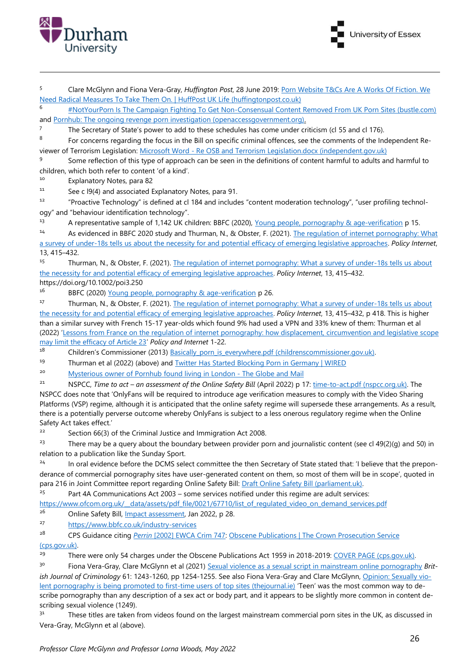

<sup>5</sup> Clare McGlynn and Fiona Vera-Gray, *Huffington Post*, 28 June 2019: [Porn Website T&Cs Are A Works Of Fiction. We](https://www.huffingtonpost.co.uk/entry/porn-website-tcs_uk_5d132febe4b09125ca466358)  [Need Radical Measures To Take Them On. | HuffPost UK Life \(huffingtonpost.co.uk\)](https://www.huffingtonpost.co.uk/entry/porn-website-tcs_uk_5d132febe4b09125ca466358)

<sup>6</sup> [#NotYourPorn Is The Campaign Fighting To Get Non-Consensual Content Removed From UK Porn Sites \(bustle.com\)](https://www.bustle.com/p/notyourporn-is-the-campaign-fighting-to-get-non-consensual-content-removed-from-uk-porn-sites-18669297) and [Pornhub: The ongoing revenge porn investigation \(openaccessgovernment.org\).](https://www.openaccessgovernment.org/revenge-porn-investigation/76810/)

7 The Secretary of State's power to add to these schedules has come under criticism (cl 55 and cl 176).

8 For concerns regarding the focus in the Bill on specific criminal offences, see the comments of the Independent Reviewer of Terrorism Legislation: Microsoft Word - [Re OSB and Terrorism Legislation.docx \(independent.gov.uk\)](https://terrorismlegislationreviewer.independent.gov.uk/wp-content/uploads/2022/04/Re-OSB-and-Terrorism-Legislation-1.pdf)

9 Some reflection of this type of approach can be seen in the definitions of content harmful to adults and harmful to children, which both refer to content 'of a kind'.

<sup>10</sup> Explanatory Notes, para 82

<sup>11</sup> See c l9(4) and associated Explanatory Notes, para 91.

<sup>12</sup> "Proactive Technology" is defined at cl 184 and includes "content moderation technology", "user profiling technology" and "behaviour identification technology".

<sup>13</sup> A representative sample of 1,142 UK children: BBFC (2020), Young people, pornography & age-verification p 15.

<sup>14</sup> As evidenced in BBFC 2020 study and Thurman, N., & Obster, F. (2021). The regulation of internet pornography: What a survey [of under‐18s tells us about the necessity for and potential efficacy of emerging legislative approaches](https://onlinelibrary.wiley.com/doi/epdf/10.1002/poi3.250). *Policy Internet*, 13, 415–432.

15 Thurman, N., & Obster, F. (2021). The regulation of internet pornography: What a survey of under-18s tells us about [the necessity for and potential efficacy of emerging legislative approaches.](https://onlinelibrary.wiley.com/doi/epdf/10.1002/poi3.250) *Policy Internet*, 13, 415–432. https://doi.org/10.1002/poi3.250

16 BBFC (2020) Young people, pornography & age-verification p 26.

<sup>17</sup> Thurman, N., & Obster, F. (2021). The regulation of internet pornography: What a survey of under-18s tells us about [the necessity for and potential efficacy of emerging legislative approaches.](https://onlinelibrary.wiley.com/doi/epdf/10.1002/poi3.250) *Policy Internet*, 13, 415–432, p 418. This is higher than a similar survey with French 15-17 year-olds which found 9% had used a VPN and 33% knew of them: Thurman et al (2022) '[Lessons from France on the regulation of internet pornography: how displacement, circumvention and legislative scope](https://onlinelibrary.wiley.com/doi/10.1002/poi3.293)  [may limit the efficacy of Article 23](https://onlinelibrary.wiley.com/doi/10.1002/poi3.293)' *Policy and Internet* 1-22.

<sup>18</sup> Children's Commissioner (2013) Basically porn is everywhere.pdf (childrenscommissioner.gov.uk).

<sup>19</sup> Thurman et al (2022) (above) and **Twitter Has Started Blocking Porn in Germany | WIRED** 

<sup>20</sup> [Mysterious owner of Pornhub found living in London -](https://www.theglobeandmail.com/politics/article-mysterious-owner-of-pornhub-found-living-in-london/) The Globe and Mail

<sup>21</sup> NSPCC, *Time to act – an assessment of the Online Safety Bill* (April 2022) p 17: [time-to-act.pdf \(nspcc.org.uk\).](https://www.nspcc.org.uk/globalassets/documents/research-reports/time-to-act.pdf) The NSPCC does note that 'OnlyFans will be required to introduce age verification measures to comply with the Video Sharing Platforms (VSP) regime, although it is anticipated that the online safety regime will supersede these arrangements. As a result, there is a potentially perverse outcome whereby OnlyFans is subject to a less onerous regulatory regime when the Online Safety Act takes effect.'

<sup>22</sup> Section 66(3) of the Criminal Justice and Immigration Act 2008.

<sup>23</sup> There may be a query about the boundary between provider porn and journalistic content (see cl 49(2)(q) and 50) in relation to a publication like the Sunday Sport.

<sup>24</sup> In oral evidence before the DCMS select committee the then Secretary of State stated that: 'I believe that the preponderance of commercial pornography sites have user-generated content on them, so most of them will be in scope', quoted in para 216 in Joint Committee report regarding Online Safety Bill: [Draft Online Safety Bill \(parliament.uk\).](https://committees.parliament.uk/publications/8206/documents/84092/default/)

 $25$  Part 4A Communications Act 2003 – some services notified under this regime are adult services:

https://www.ofcom.org.uk/\_data/assets/pdf\_file/0021/67710/list\_of\_regulated\_video\_on\_demand\_services.pdf <sup>26</sup> Online Safety Bill, <u>Impact assessment</u>, Jan 2022, p 28.

<sup>27</sup> <https://www.bbfc.co.uk/industry-services>

<sup>28</sup> CPS Guidance citing *Perrin* [\[2002\] EWCA Crim 747:](https://www.bailii.org/ew/cases/EWCA/Crim/2002/747.html) [Obscene Publications | The Crown Prosecution Service](https://www.cps.gov.uk/legal-guidance/obscene-publications)  [\(cps.gov.uk\).](https://www.cps.gov.uk/legal-guidance/obscene-publications)

<sup>29</sup> There were only 54 charges under the Obscene Publications Act 1959 in 2018-2019: [COVER PAGE \(cps.gov.uk\).](https://www.cps.gov.uk/sites/default/files/documents/publications/cps-vawg-report-2019.pdf)

<sup>30</sup> Fiona Vera-Gray, Clare McGlynn et al (2021) [Sexual violence as a sexual script in mainstream online pornography](https://academic.oup.com/bjc/advance-article/doi/10.1093/bjc/azab035/6208896) *British Journal of Criminology* 61: 1243-1260, pp 1254-1255. See also Fiona Vera-Gray and Clare McGlynn[, Opinion: Sexually vio](https://www.thejournal.ie/readme/porn-5431234-May2021/?utm_source=shortlink)[lent pornography is being promoted to first-time users of top sites \(thejournal.ie\)](https://www.thejournal.ie/readme/porn-5431234-May2021/?utm_source=shortlink) 'Teen' was the most common way to describe pornography than any description of a sex act or body part, and it appears to be slightly more common in content describing sexual violence (1249).

<sup>31</sup> These titles are taken from videos found on the largest mainstream commercial porn sites in the UK, as discussed in Vera-Gray, McGlynn et al (above).

University of Essex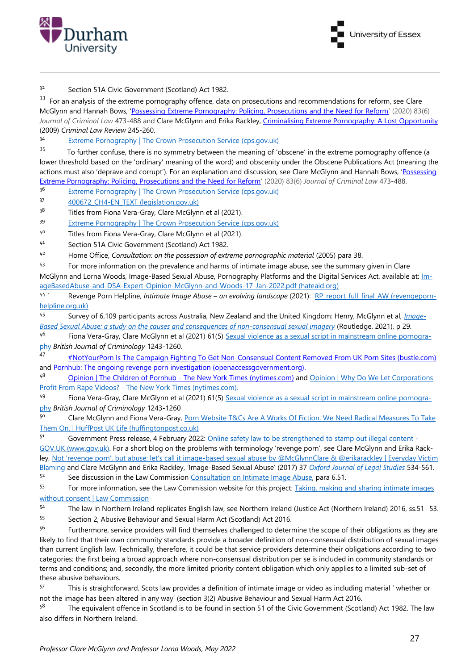



<sup>32</sup> Section 51A Civic Government (Scotland) Act 1982.

33 For an analysis of the extreme pornography offence, data on prosecutions and recommendations for reform, see Clare McGlynn and Hannah Bows, ['Possessing Extreme Pornography: Policing, Prosecutions and the Need for Reform'](https://journals.sagepub.com/doi/full/10.1177/0022018319877783) (2020) 83(6) *Journal of Criminal Law* 473-488 and Clare McGlynn and Erika Rackley, [Criminalising Extreme Pornography: A Lost Opportunity](https://claremcglynn.files.wordpress.com/2018/03/mcglynn-rackley-crim-lr-final-march-2009.pdf) (2009) *Criminal Law Review* 245-260.

<sup>34</sup> [Extreme Pornography | The Crown Prosecution Service \(cps.gov.uk\)](https://www.cps.gov.uk/legal-guidance/extreme-pornography)

35 To further confuse, there is no symmetry between the meaning of 'obscene' in the extreme pornography offence (a lower threshold based on the 'ordinary' meaning of the word) and obscenity under the Obscene Publications Act (meaning the actions must also 'deprave and corrupt'). For an explanation and discussion, see Clare McGlynn and Hannah Bows, ['Possessing](https://journals.sagepub.com/doi/full/10.1177/0022018319877783)  [Extreme Pornography: Policing, Prosecutions and the Need for Reform'](https://journals.sagepub.com/doi/full/10.1177/0022018319877783) (2020) 83(6) *Journal of Criminal Law* 473-488.

36 [Extreme Pornography | The Crown Prosecution Service \(cps.gov.uk\)](https://www.cps.gov.uk/legal-guidance/extreme-pornography)

37 400672 CH4-EN TEXT (legislation.gov.uk)

 $3<sup>8</sup>$  Titles from Fiona Vera-Gray, Clare McGlynn et al (2021).

39 [Extreme Pornography | The Crown Prosecution Service \(cps.gov.uk\)](https://www.cps.gov.uk/legal-guidance/extreme-pornography)

40 Titles from Fiona Vera-Gray, Clare McGlynn et al (2021).

<sup>41</sup> Section 51A Civic Government (Scotland) Act 1982.

<sup>42</sup> Home Office, *Consultation: on the possession of extreme pornographic material* (2005) para 38.

<sup>43</sup> For more information on the prevalence and harms of intimate image abuse, see the summary given in Clare McGlynn and Lorna Woods, Image-Based Sexual Abuse, Pornography Platforms and the Digital Services Act, available at: [Im](https://hateaid.org/wp-content/uploads/2022/01/ImageBasedAbuse-and-DSA-Expert-Opinion-McGlynn-and-Woods-17-Jan-2022.pdf)[ageBasedAbuse-and-DSA-Expert-Opinion-McGlynn-and-Woods-17-Jan-2022.pdf \(hateaid.org\)](https://hateaid.org/wp-content/uploads/2022/01/ImageBasedAbuse-and-DSA-Expert-Opinion-McGlynn-and-Woods-17-Jan-2022.pdf)

44 Revenge Porn Helpline, *Intimate Image Abuse - an evolving landscape* (2021): [RP\\_report\\_full\\_final\\_AW \(revengeporn](https://revengepornhelpline.org.uk/assets/documents/intimate-image-abuse-an-evolving-landscape.pdf?_=1639471939)[helpline.org.uk\)](https://revengepornhelpline.org.uk/assets/documents/intimate-image-abuse-an-evolving-landscape.pdf?_=1639471939)

<sup>45</sup> Survey of 6,109 participants across Australia, New Zealand and the United Kingdom: Henry, McGlynn et al, *[Image-](https://www.routledge.com/Image-based-sexual-abuse-A-study-on-the-causes-and-consequences-of-non-consensual/Henry-Mcglynn-Flynn-Johnson-Powell-Scott/p/book/9780815353836)[Based Sexual Abuse: a study on the causes and consequences of non-consensual sexual imagery](https://www.routledge.com/Image-based-sexual-abuse-A-study-on-the-causes-and-consequences-of-non-consensual/Henry-Mcglynn-Flynn-Johnson-Powell-Scott/p/book/9780815353836)* (Routledge, 2021), p 29.

<sup>46</sup> Fiona Vera-Gray, Clare McGlynn et al (2021) 61(5) [Sexual violence as a sexual script in mainstream online pornogra](https://academic.oup.com/bjc/advance-article/doi/10.1093/bjc/azab035/6208896)[phy](https://academic.oup.com/bjc/advance-article/doi/10.1093/bjc/azab035/6208896) *British Journal of Criminology* 1243-1260.

<sup>47</sup> [#NotYourPorn Is The Campaign Fighting To Get Non-Consensual Content Removed From UK Porn Sites \(bustle.com\)](https://www.bustle.com/p/notyourporn-is-the-campaign-fighting-to-get-non-consensual-content-removed-from-uk-porn-sites-18669297) and [Pornhub: The ongoing revenge porn investigation \(openaccessgovernment.org\).](https://www.openaccessgovernment.org/revenge-porn-investigation/76810/)

48 [Opinion | The Children of Pornhub -](https://www.nytimes.com/2020/12/04/opinion/sunday/pornhub-rape-trafficking.html) The New York Times (nytimes.com) and Opinion | Why Do We Let Corporations Profit From Rape Videos? - [The New York Times \(nytimes.com\).](https://www.nytimes.com/2021/04/16/opinion/sunday/companies-online-rape-videos.html?smid=tw-share)

49 Fiona Vera-Gray, Clare McGlynn et al (2021) 61(5) [Sexual violence as a sexual script in mainstream online pornogra](https://academic.oup.com/bjc/advance-article/doi/10.1093/bjc/azab035/6208896)[phy](https://academic.oup.com/bjc/advance-article/doi/10.1093/bjc/azab035/6208896) *British Journal of Criminology* 1243-1260

50 Clare McGlynn and Fiona Vera-Gray, Porn Website T&Cs Are A Works Of Fiction. We Need Radical Measures To Take [Them On. | HuffPost UK Life \(huffingtonpost.co.uk\)](https://www.huffingtonpost.co.uk/entry/porn-website-tcs_uk_5d132febe4b09125ca466358)

51 Government Press release, 4 February 2022: [Online safety law to be strengthened to stamp out illegal content -](https://www.gov.uk/government/news/online-safety-law-to-be-strengthened-to-stamp-out-illegal-content?msclkid=39bf3c7dcee011ecbe211d6e2e183be6) [GOV.UK \(www.gov.uk\).](https://www.gov.uk/government/news/online-safety-law-to-be-strengthened-to-stamp-out-illegal-content?msclkid=39bf3c7dcee011ecbe211d6e2e183be6) For a short blog on the problems with terminology 'revenge porn', see Clare McGlynn and Erika Rackley, Not 'revenge porn', but abuse: let's call it image[-based sexual abuse by @McGlynnClare & @erikarackley | Everyday Victim](http://everydayvictimblaming.com/media-complaints/not-revenge-porn-but-abuse-lets-call-it-image-based-sexual-abuse-by-‏mcglynnclare-erikarackley/)  [Blaming](http://everydayvictimblaming.com/media-complaints/not-revenge-porn-but-abuse-lets-call-it-image-based-sexual-abuse-by-‏mcglynnclare-erikarackley/) and Clare McGlynn and Erika Rackley, 'Image-Based Sexual Abuse' (2017) 37 *[Oxford Journal of Legal Studies](https://academic.oup.com/ojls/article/37/3/534/2965256?guestAccessKey=349e7a45-7633-4b34-8e69-9d39aef546ab)* 534-561.

<sup>52</sup> See discussion in the Law Commissio[n Consultation on Intimate Image Abuse,](https://s3-eu-west-2.amazonaws.com/lawcom-prod-storage-11jsxou24uy7q/uploads/2021/02/Intimate-image-abuse-consultation-paper.pdf) para 6.51.

53 For more information, see the Law Commission website for this project: Taking, making and sharing intimate images [without consent | Law Commission](https://www.lawcom.gov.uk/project/taking-making-and-sharing-intimate-images-without-consent/)

<sup>54</sup> The law in Northern Ireland replicates English law, see Northern Ireland (Justice Act (Northern Ireland) 2016, ss.51- 53.

<sup>55</sup> Section 2, Abusive Behaviour and Sexual Harm Act (Scotland) Act 2016.

<sup>56</sup> Furthermore, service providers will find themselves challenged to determine the scope of their obligations as they are likely to find that their own community standards provide a broader definition of non-consensual distribution of sexual images than current English law. Technically, therefore, it could be that service providers determine their obligations according to two categories: the first being a broad approach where non-consensual distribution per se is included in community standards or terms and conditions; and, secondly, the more limited priority content obligation which only applies to a limited sub-set of these abusive behaviours.

<sup>57</sup> This is straightforward. Scots law provides a definition of intimate image or video as including material ' whether or not the image has been altered in any way' (section 3(2) Abusive Behaviour and Sexual Harm Act 2016.

 $5<sup>8</sup>$  The equivalent offence in Scotland is to be found in section 51 of the Civic Government (Scotland) Act 1982. The law also differs in Northern Ireland.